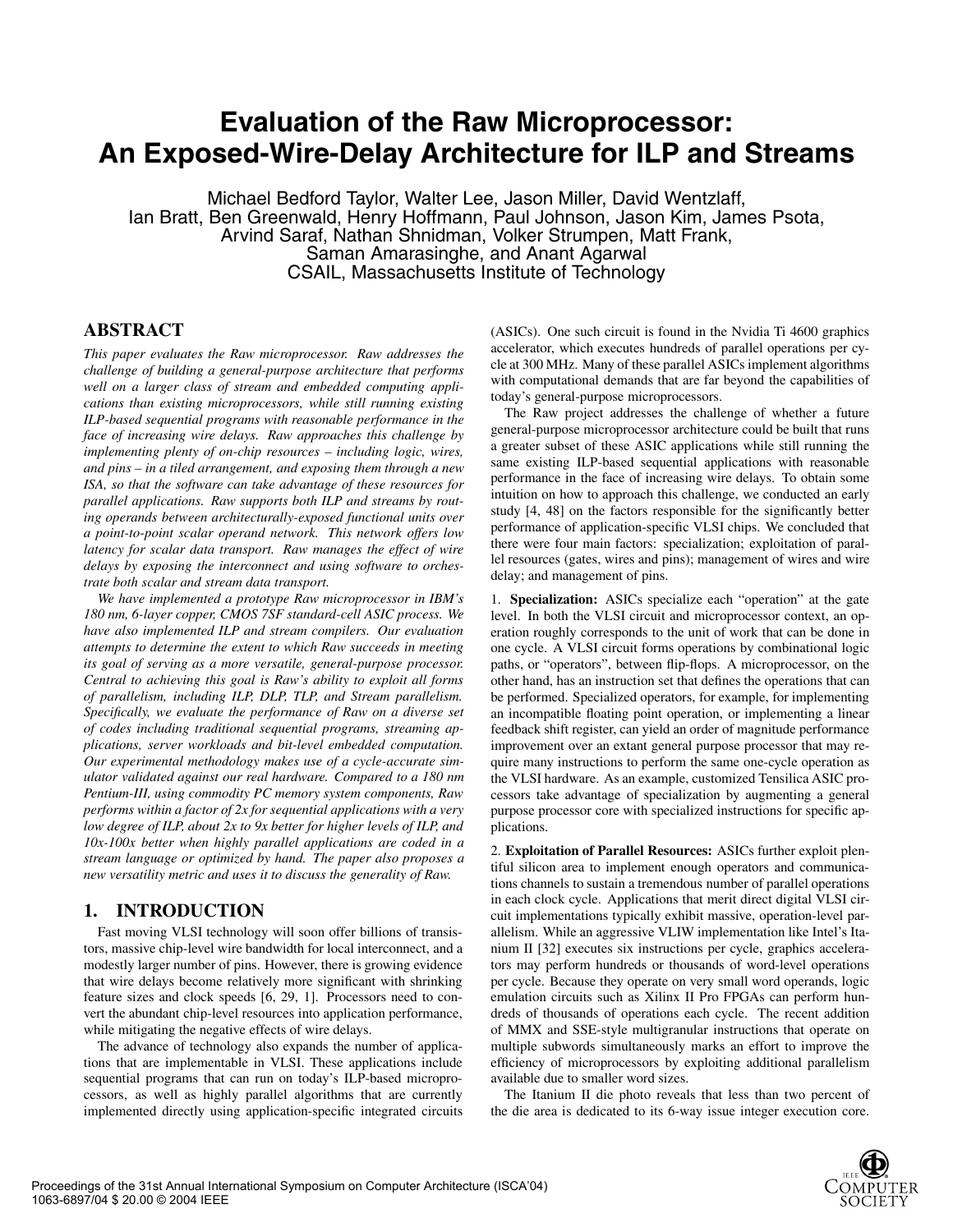# **Evaluation of the Raw Microprocessor: An Exposed-Wire-Delay Architecture for ILP and Streams**

Michael Bedford Taylor, Walter Lee, Jason Miller, David Wentzlaff, Ian Bratt, Ben Greenwald, Henry Hoffmann, Paul Johnson, Jason Kim, James Psota, Arvind Saraf, Nathan Shnidman, Volker Strumpen, Matt Frank, Saman Amarasinghe, and Anant Agarwal CSAIL, Massachusetts Institute of Technology

# **ABSTRACT**

*This paper evaluates the Raw microprocessor. Raw addresses the challenge of building a general-purpose architecture that performs well on a larger class of stream and embedded computing applications than existing microprocessors, while still running existing ILP-based sequential programs with reasonable performance in the face of increasing wire delays. Raw approaches this challenge by implementing plenty of on-chip resources – including logic, wires, and pins – in a tiled arrangement, and exposing them through a new ISA, so that the software can take advantage of these resources for parallel applications. Raw supports both ILP and streams by routing operands between architecturally-exposed functional units over a point-to-point scalar operand network. This network offers low latency for scalar data transport. Raw manages the effect of wire delays by exposing the interconnect and using software to orchestrate both scalar and stream data transport.*

*We have implemented a prototype Raw microprocessor in IBM's 180 nm, 6-layer copper, CMOS 7SF standard-cell ASIC process. We have also implemented ILP and stream compilers. Our evaluation attempts to determine the extent to which Raw succeeds in meeting its goal of serving as a more versatile, general-purpose processor. Central to achieving this goal is Raw's ability to exploit all forms of parallelism, including ILP, DLP, TLP, and Stream parallelism. Specifically, we evaluate the performance of Raw on a diverse set of codes including traditional sequential programs, streaming applications, server workloads and bit-level embedded computation. Our experimental methodology makes use of a cycle-accurate simulator validated against our real hardware. Compared to a 180 nm Pentium-III, using commodity PC memory system components, Raw performs within a factor of 2x for sequential applications with a very low degree of ILP, about 2x to 9x better for higher levels of ILP, and 10x-100x better when highly parallel applications are coded in a stream language or optimized by hand. The paper also proposes a new versatility metric and uses it to discuss the generality of Raw.*

# **1. INTRODUCTION**

Fast moving VLSI technology will soon offer billions of transistors, massive chip-level wire bandwidth for local interconnect, and a modestly larger number of pins. However, there is growing evidence that wire delays become relatively more significant with shrinking feature sizes and clock speeds [6, 29, 1]. Processors need to convert the abundant chip-level resources into application performance, while mitigating the negative effects of wire delays.

The advance of technology also expands the number of applications that are implementable in VLSI. These applications include sequential programs that can run on today's ILP-based microprocessors, as well as highly parallel algorithms that are currently implemented directly using application-specific integrated circuits (ASICs). One such circuit is found in the Nvidia Ti 4600 graphics accelerator, which executes hundreds of parallel operations per cycle at 300 MHz. Many of these parallel ASICs implement algorithms with computational demands that are far beyond the capabilities of today's general-purpose microprocessors.

The Raw project addresses the challenge of whether a future general-purpose microprocessor architecture could be built that runs a greater subset of these ASIC applications while still running the same existing ILP-based sequential applications with reasonable performance in the face of increasing wire delays. To obtain some intuition on how to approach this challenge, we conducted an early study [4, 48] on the factors responsible for the significantly better performance of application-specific VLSI chips. We concluded that there were four main factors: specialization; exploitation of parallel resources (gates, wires and pins); management of wires and wire delay; and management of pins.

1. **Specialization:** ASICs specialize each "operation" at the gate level. In both the VLSI circuit and microprocessor context, an operation roughly corresponds to the unit of work that can be done in one cycle. A VLSI circuit forms operations by combinational logic paths, or "operators", between flip-flops. A microprocessor, on the other hand, has an instruction set that defines the operations that can be performed. Specialized operators, for example, for implementing an incompatible floating point operation, or implementing a linear feedback shift register, can yield an order of magnitude performance improvement over an extant general purpose processor that may require many instructions to perform the same one-cycle operation as the VLSI hardware. As an example, customized Tensilica ASIC processors take advantage of specialization by augmenting a general purpose processor core with specialized instructions for specific applications.

2. **Exploitation of Parallel Resources:** ASICs further exploit plentiful silicon area to implement enough operators and communications channels to sustain a tremendous number of parallel operations in each clock cycle. Applications that merit direct digital VLSI circuit implementations typically exhibit massive, operation-level parallelism. While an aggressive VLIW implementation like Intel's Itanium II [32] executes six instructions per cycle, graphics accelerators may perform hundreds or thousands of word-level operations per cycle. Because they operate on very small word operands, logic emulation circuits such as Xilinx II Pro FPGAs can perform hundreds of thousands of operations each cycle. The recent addition of MMX and SSE-style multigranular instructions that operate on multiple subwords simultaneously marks an effort to improve the efficiency of microprocessors by exploiting additional parallelism available due to smaller word sizes.

The Itanium II die photo reveals that less than two percent of the die area is dedicated to its 6-way issue integer execution core.

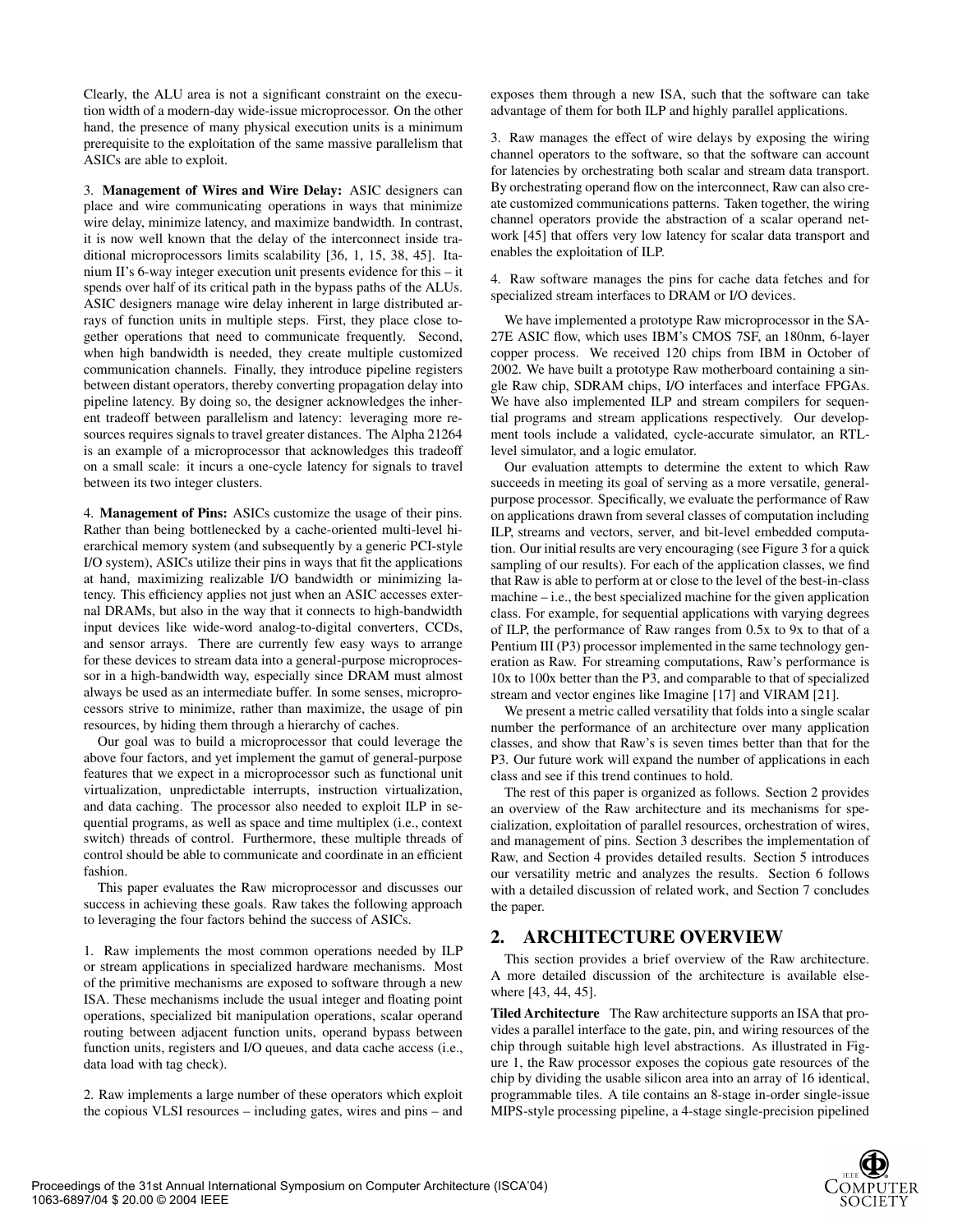Clearly, the ALU area is not a significant constraint on the execution width of a modern-day wide-issue microprocessor. On the other hand, the presence of many physical execution units is a minimum prerequisite to the exploitation of the same massive parallelism that ASICs are able to exploit.

3. **Management of Wires and Wire Delay:** ASIC designers can place and wire communicating operations in ways that minimize wire delay, minimize latency, and maximize bandwidth. In contrast, it is now well known that the delay of the interconnect inside traditional microprocessors limits scalability [36, 1, 15, 38, 45]. Itanium II's 6-way integer execution unit presents evidence for this – it spends over half of its critical path in the bypass paths of the ALUs. ASIC designers manage wire delay inherent in large distributed arrays of function units in multiple steps. First, they place close together operations that need to communicate frequently. Second, when high bandwidth is needed, they create multiple customized communication channels. Finally, they introduce pipeline registers between distant operators, thereby converting propagation delay into pipeline latency. By doing so, the designer acknowledges the inherent tradeoff between parallelism and latency: leveraging more resources requires signals to travel greater distances. The Alpha 21264 is an example of a microprocessor that acknowledges this tradeoff on a small scale: it incurs a one-cycle latency for signals to travel between its two integer clusters.

4. **Management of Pins:** ASICs customize the usage of their pins. Rather than being bottlenecked by a cache-oriented multi-level hierarchical memory system (and subsequently by a generic PCI-style I/O system), ASICs utilize their pins in ways that fit the applications at hand, maximizing realizable I/O bandwidth or minimizing latency. This efficiency applies not just when an ASIC accesses external DRAMs, but also in the way that it connects to high-bandwidth input devices like wide-word analog-to-digital converters, CCDs, and sensor arrays. There are currently few easy ways to arrange for these devices to stream data into a general-purpose microprocessor in a high-bandwidth way, especially since DRAM must almost always be used as an intermediate buffer. In some senses, microprocessors strive to minimize, rather than maximize, the usage of pin resources, by hiding them through a hierarchy of caches.

Our goal was to build a microprocessor that could leverage the above four factors, and yet implement the gamut of general-purpose features that we expect in a microprocessor such as functional unit virtualization, unpredictable interrupts, instruction virtualization, and data caching. The processor also needed to exploit ILP in sequential programs, as well as space and time multiplex (i.e., context switch) threads of control. Furthermore, these multiple threads of control should be able to communicate and coordinate in an efficient fashion.

This paper evaluates the Raw microprocessor and discusses our success in achieving these goals. Raw takes the following approach to leveraging the four factors behind the success of ASICs.

1. Raw implements the most common operations needed by ILP or stream applications in specialized hardware mechanisms. Most of the primitive mechanisms are exposed to software through a new ISA. These mechanisms include the usual integer and floating point operations, specialized bit manipulation operations, scalar operand routing between adjacent function units, operand bypass between function units, registers and I/O queues, and data cache access (i.e., data load with tag check).

2. Raw implements a large number of these operators which exploit the copious VLSI resources – including gates, wires and pins – and exposes them through a new ISA, such that the software can take advantage of them for both ILP and highly parallel applications.

3. Raw manages the effect of wire delays by exposing the wiring channel operators to the software, so that the software can account for latencies by orchestrating both scalar and stream data transport. By orchestrating operand flow on the interconnect, Raw can also create customized communications patterns. Taken together, the wiring channel operators provide the abstraction of a scalar operand network [45] that offers very low latency for scalar data transport and enables the exploitation of ILP.

4. Raw software manages the pins for cache data fetches and for specialized stream interfaces to DRAM or I/O devices.

We have implemented a prototype Raw microprocessor in the SA-27E ASIC flow, which uses IBM's CMOS 7SF, an 180nm, 6-layer copper process. We received 120 chips from IBM in October of 2002. We have built a prototype Raw motherboard containing a single Raw chip, SDRAM chips, I/O interfaces and interface FPGAs. We have also implemented ILP and stream compilers for sequential programs and stream applications respectively. Our development tools include a validated, cycle-accurate simulator, an RTLlevel simulator, and a logic emulator.

Our evaluation attempts to determine the extent to which Raw succeeds in meeting its goal of serving as a more versatile, generalpurpose processor. Specifically, we evaluate the performance of Raw on applications drawn from several classes of computation including ILP, streams and vectors, server, and bit-level embedded computation. Our initial results are very encouraging (see Figure 3 for a quick sampling of our results). For each of the application classes, we find that Raw is able to perform at or close to the level of the best-in-class machine – i.e., the best specialized machine for the given application class. For example, for sequential applications with varying degrees of ILP, the performance of Raw ranges from 0.5x to 9x to that of a Pentium III (P3) processor implemented in the same technology generation as Raw. For streaming computations, Raw's performance is 10x to 100x better than the P3, and comparable to that of specialized stream and vector engines like Imagine [17] and VIRAM [21].

We present a metric called versatility that folds into a single scalar number the performance of an architecture over many application classes, and show that Raw's is seven times better than that for the P3. Our future work will expand the number of applications in each class and see if this trend continues to hold.

The rest of this paper is organized as follows. Section 2 provides an overview of the Raw architecture and its mechanisms for specialization, exploitation of parallel resources, orchestration of wires, and management of pins. Section 3 describes the implementation of Raw, and Section 4 provides detailed results. Section 5 introduces our versatility metric and analyzes the results. Section 6 follows with a detailed discussion of related work, and Section 7 concludes the paper.

# **2. ARCHITECTURE OVERVIEW**

This section provides a brief overview of the Raw architecture. A more detailed discussion of the architecture is available elsewhere [43, 44, 45].

**Tiled Architecture** The Raw architecture supports an ISA that provides a parallel interface to the gate, pin, and wiring resources of the chip through suitable high level abstractions. As illustrated in Figure 1, the Raw processor exposes the copious gate resources of the chip by dividing the usable silicon area into an array of 16 identical, programmable tiles. A tile contains an 8-stage in-order single-issue MIPS-style processing pipeline, a 4-stage single-precision pipelined

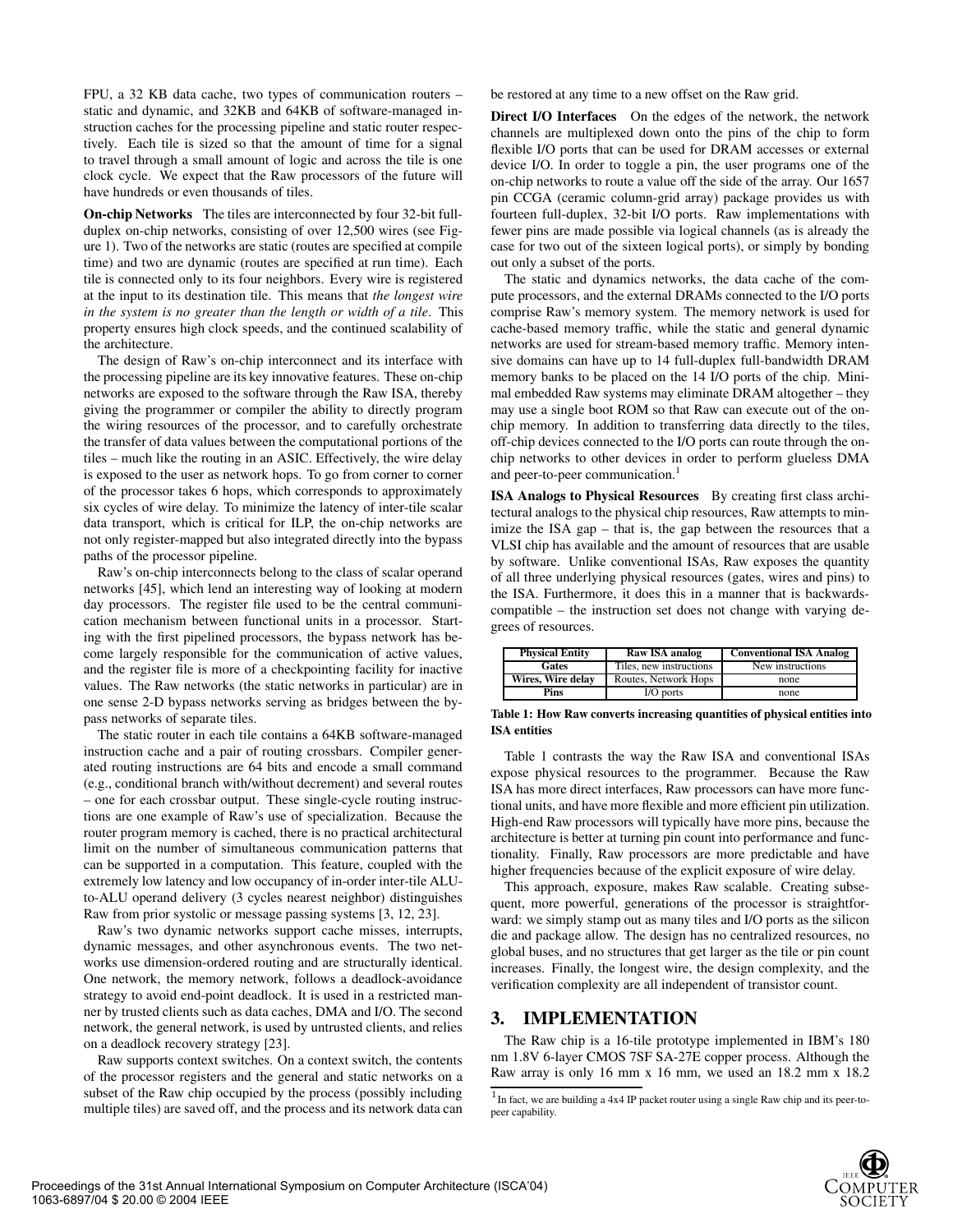FPU, a 32 KB data cache, two types of communication routers – static and dynamic, and 32KB and 64KB of software-managed instruction caches for the processing pipeline and static router respectively. Each tile is sized so that the amount of time for a signal to travel through a small amount of logic and across the tile is one clock cycle. We expect that the Raw processors of the future will have hundreds or even thousands of tiles.

**On-chip Networks** The tiles are interconnected by four 32-bit fullduplex on-chip networks, consisting of over 12,500 wires (see Figure 1). Two of the networks are static (routes are specified at compile time) and two are dynamic (routes are specified at run time). Each tile is connected only to its four neighbors. Every wire is registered at the input to its destination tile. This means that *the longest wire in the system is no greater than the length or width of a tile*. This property ensures high clock speeds, and the continued scalability of the architecture.

The design of Raw's on-chip interconnect and its interface with the processing pipeline are its key innovative features. These on-chip networks are exposed to the software through the Raw ISA, thereby giving the programmer or compiler the ability to directly program the wiring resources of the processor, and to carefully orchestrate the transfer of data values between the computational portions of the tiles – much like the routing in an ASIC. Effectively, the wire delay is exposed to the user as network hops. To go from corner to corner of the processor takes 6 hops, which corresponds to approximately six cycles of wire delay. To minimize the latency of inter-tile scalar data transport, which is critical for ILP, the on-chip networks are not only register-mapped but also integrated directly into the bypass paths of the processor pipeline.

Raw's on-chip interconnects belong to the class of scalar operand networks [45], which lend an interesting way of looking at modern day processors. The register file used to be the central communication mechanism between functional units in a processor. Starting with the first pipelined processors, the bypass network has become largely responsible for the communication of active values, and the register file is more of a checkpointing facility for inactive values. The Raw networks (the static networks in particular) are in one sense 2-D bypass networks serving as bridges between the bypass networks of separate tiles.

The static router in each tile contains a 64KB software-managed instruction cache and a pair of routing crossbars. Compiler generated routing instructions are 64 bits and encode a small command (e.g., conditional branch with/without decrement) and several routes – one for each crossbar output. These single-cycle routing instructions are one example of Raw's use of specialization. Because the router program memory is cached, there is no practical architectural limit on the number of simultaneous communication patterns that can be supported in a computation. This feature, coupled with the extremely low latency and low occupancy of in-order inter-tile ALUto-ALU operand delivery (3 cycles nearest neighbor) distinguishes Raw from prior systolic or message passing systems [3, 12, 23].

Raw's two dynamic networks support cache misses, interrupts, dynamic messages, and other asynchronous events. The two networks use dimension-ordered routing and are structurally identical. One network, the memory network, follows a deadlock-avoidance strategy to avoid end-point deadlock. It is used in a restricted manner by trusted clients such as data caches, DMA and I/O. The second network, the general network, is used by untrusted clients, and relies on a deadlock recovery strategy [23].

Raw supports context switches. On a context switch, the contents of the processor registers and the general and static networks on a subset of the Raw chip occupied by the process (possibly including multiple tiles) are saved off, and the process and its network data can be restored at any time to a new offset on the Raw grid.

**Direct I/O Interfaces** On the edges of the network, the network channels are multiplexed down onto the pins of the chip to form flexible I/O ports that can be used for DRAM accesses or external device I/O. In order to toggle a pin, the user programs one of the on-chip networks to route a value off the side of the array. Our 1657 pin CCGA (ceramic column-grid array) package provides us with fourteen full-duplex, 32-bit I/O ports. Raw implementations with fewer pins are made possible via logical channels (as is already the case for two out of the sixteen logical ports), or simply by bonding out only a subset of the ports.

The static and dynamics networks, the data cache of the compute processors, and the external DRAMs connected to the I/O ports comprise Raw's memory system. The memory network is used for cache-based memory traffic, while the static and general dynamic networks are used for stream-based memory traffic. Memory intensive domains can have up to 14 full-duplex full-bandwidth DRAM memory banks to be placed on the 14 I/O ports of the chip. Minimal embedded Raw systems may eliminate DRAM altogether – they may use a single boot ROM so that Raw can execute out of the onchip memory. In addition to transferring data directly to the tiles, off-chip devices connected to the I/O ports can route through the onchip networks to other devices in order to perform glueless DMA and peer-to-peer communication.<sup>1</sup>

**ISA Analogs to Physical Resources** By creating first class architectural analogs to the physical chip resources, Raw attempts to minimize the ISA gap – that is, the gap between the resources that a VLSI chip has available and the amount of resources that are usable by software. Unlike conventional ISAs, Raw exposes the quantity of all three underlying physical resources (gates, wires and pins) to the ISA. Furthermore, it does this in a manner that is backwardscompatible – the instruction set does not change with varying degrees of resources.

| <b>Physical Entity</b> | Raw ISA analog          | <b>Conventional ISA Analog</b> |  |
|------------------------|-------------------------|--------------------------------|--|
| Gates                  | Tiles, new instructions | New instructions               |  |
| Wires. Wire delay      | Routes, Network Hops    | none                           |  |
| Pins                   | I/O ports               | none                           |  |

**Table 1: How Raw converts increasing quantities of physical entities into ISA entities**

Table 1 contrasts the way the Raw ISA and conventional ISAs expose physical resources to the programmer. Because the Raw ISA has more direct interfaces, Raw processors can have more functional units, and have more flexible and more efficient pin utilization. High-end Raw processors will typically have more pins, because the architecture is better at turning pin count into performance and functionality. Finally, Raw processors are more predictable and have higher frequencies because of the explicit exposure of wire delay.

This approach, exposure, makes Raw scalable. Creating subsequent, more powerful, generations of the processor is straightforward: we simply stamp out as many tiles and I/O ports as the silicon die and package allow. The design has no centralized resources, no global buses, and no structures that get larger as the tile or pin count increases. Finally, the longest wire, the design complexity, and the verification complexity are all independent of transistor count.

## **3. IMPLEMENTATION**

The Raw chip is a 16-tile prototype implemented in IBM's 180 nm 1.8V 6-layer CMOS 7SF SA-27E copper process. Although the Raw array is only 16 mm x 16 mm, we used an 18.2 mm x 18.2

 $1$ In fact, we are building a 4x4 IP packet router using a single Raw chip and its peer-topeer capability.

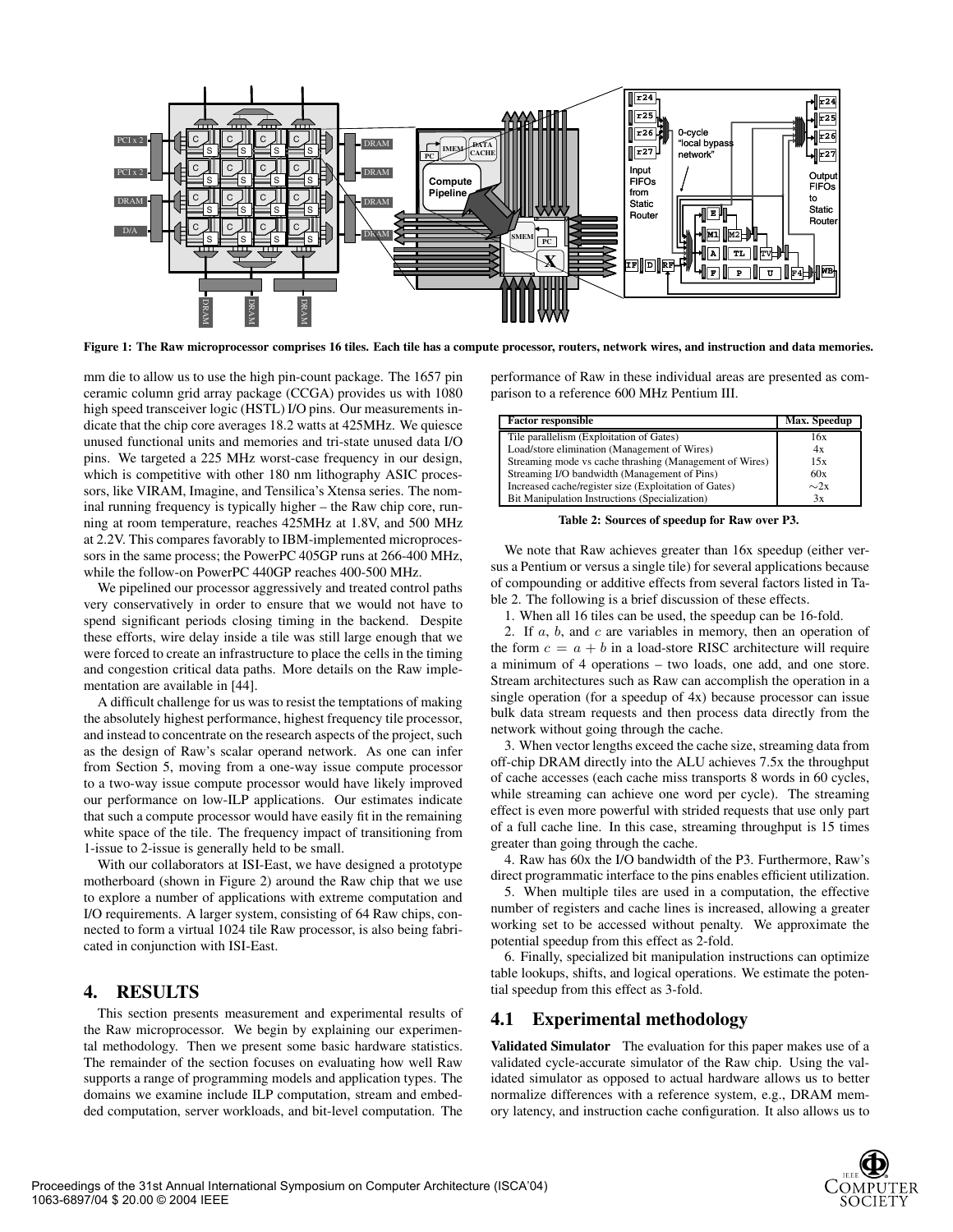

**Figure 1: The Raw microprocessor comprises 16 tiles. Each tile has a compute processor, routers, network wires, and instruction and data memories.**

mm die to allow us to use the high pin-count package. The 1657 pin ceramic column grid array package (CCGA) provides us with 1080 high speed transceiver logic (HSTL) I/O pins. Our measurements indicate that the chip core averages 18.2 watts at 425MHz. We quiesce unused functional units and memories and tri-state unused data I/O pins. We targeted a 225 MHz worst-case frequency in our design, which is competitive with other 180 nm lithography ASIC processors, like VIRAM, Imagine, and Tensilica's Xtensa series. The nominal running frequency is typically higher – the Raw chip core, running at room temperature, reaches 425MHz at 1.8V, and 500 MHz at 2.2V. This compares favorably to IBM-implemented microprocessors in the same process; the PowerPC 405GP runs at 266-400 MHz, while the follow-on PowerPC 440GP reaches 400-500 MHz.

We pipelined our processor aggressively and treated control paths very conservatively in order to ensure that we would not have to spend significant periods closing timing in the backend. Despite these efforts, wire delay inside a tile was still large enough that we were forced to create an infrastructure to place the cells in the timing and congestion critical data paths. More details on the Raw implementation are available in [44].

A difficult challenge for us was to resist the temptations of making the absolutely highest performance, highest frequency tile processor, and instead to concentrate on the research aspects of the project, such as the design of Raw's scalar operand network. As one can infer from Section 5, moving from a one-way issue compute processor to a two-way issue compute processor would have likely improved our performance on low-ILP applications. Our estimates indicate that such a compute processor would have easily fit in the remaining white space of the tile. The frequency impact of transitioning from 1-issue to 2-issue is generally held to be small.

With our collaborators at ISI-East, we have designed a prototype motherboard (shown in Figure 2) around the Raw chip that we use to explore a number of applications with extreme computation and I/O requirements. A larger system, consisting of 64 Raw chips, connected to form a virtual 1024 tile Raw processor, is also being fabricated in conjunction with ISI-East.

## **4. RESULTS**

This section presents measurement and experimental results of the Raw microprocessor. We begin by explaining our experimental methodology. Then we present some basic hardware statistics. The remainder of the section focuses on evaluating how well Raw supports a range of programming models and application types. The domains we examine include ILP computation, stream and embedded computation, server workloads, and bit-level computation. The

performance of Raw in these individual areas are presented as comparison to a reference 600 MHz Pentium III.

| <b>Factor responsible</b>                               | Max. Speedup |
|---------------------------------------------------------|--------------|
| Tile parallelism (Exploitation of Gates)                | 16x          |
| Load/store elimination (Management of Wires)            | 4x           |
| Streaming mode vs cache thrashing (Management of Wires) | 15x          |
| Streaming I/O bandwidth (Management of Pins)            | 60x          |
| Increased cache/register size (Exploitation of Gates)   | $\sim$ 2x    |
| Bit Manipulation Instructions (Specialization)          | 3x           |

**Table 2: Sources of speedup for Raw over P3.**

We note that Raw achieves greater than 16x speedup (either versus a Pentium or versus a single tile) for several applications because of compounding or additive effects from several factors listed in Table 2. The following is a brief discussion of these effects.

1. When all 16 tiles can be used, the speedup can be 16-fold.

2. If  $a, b$ , and  $c$  are variables in memory, then an operation of the form  $c = a + b$  in a load-store RISC architecture will require a minimum of 4 operations – two loads, one add, and one store. Stream architectures such as Raw can accomplish the operation in a single operation (for a speedup of 4x) because processor can issue bulk data stream requests and then process data directly from the network without going through the cache.

3. When vector lengths exceed the cache size, streaming data from off-chip DRAM directly into the ALU achieves 7.5x the throughput of cache accesses (each cache miss transports 8 words in 60 cycles, while streaming can achieve one word per cycle). The streaming effect is even more powerful with strided requests that use only part of a full cache line. In this case, streaming throughput is 15 times greater than going through the cache.

4. Raw has 60x the I/O bandwidth of the P3. Furthermore, Raw's direct programmatic interface to the pins enables efficient utilization.

5. When multiple tiles are used in a computation, the effective number of registers and cache lines is increased, allowing a greater working set to be accessed without penalty. We approximate the potential speedup from this effect as 2-fold.

6. Finally, specialized bit manipulation instructions can optimize table lookups, shifts, and logical operations. We estimate the potential speedup from this effect as 3-fold.

# **4.1 Experimental methodology**

**Validated Simulator** The evaluation for this paper makes use of a validated cycle-accurate simulator of the Raw chip. Using the validated simulator as opposed to actual hardware allows us to better normalize differences with a reference system, e.g., DRAM memory latency, and instruction cache configuration. It also allows us to

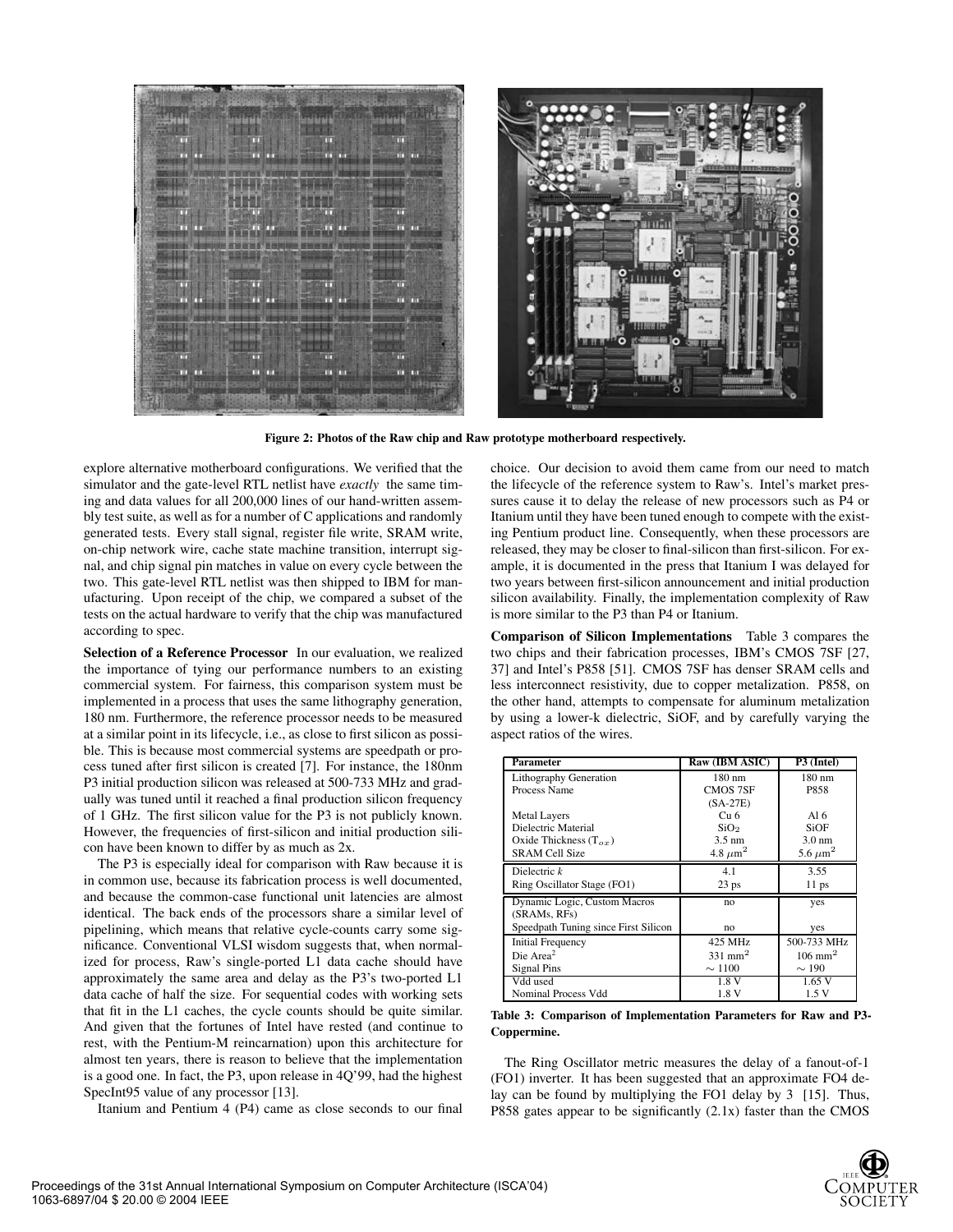

**Figure 2: Photos of the Raw chip and Raw prototype motherboard respectively.**

explore alternative motherboard configurations. We verified that the simulator and the gate-level RTL netlist have *exactly* the same timing and data values for all 200,000 lines of our hand-written assembly test suite, as well as for a number of C applications and randomly generated tests. Every stall signal, register file write, SRAM write, on-chip network wire, cache state machine transition, interrupt signal, and chip signal pin matches in value on every cycle between the two. This gate-level RTL netlist was then shipped to IBM for manufacturing. Upon receipt of the chip, we compared a subset of the tests on the actual hardware to verify that the chip was manufactured according to spec.

**Selection of a Reference Processor** In our evaluation, we realized the importance of tying our performance numbers to an existing commercial system. For fairness, this comparison system must be implemented in a process that uses the same lithography generation, 180 nm. Furthermore, the reference processor needs to be measured at a similar point in its lifecycle, i.e., as close to first silicon as possible. This is because most commercial systems are speedpath or process tuned after first silicon is created [7]. For instance, the 180nm P3 initial production silicon was released at 500-733 MHz and gradually was tuned until it reached a final production silicon frequency of 1 GHz. The first silicon value for the P3 is not publicly known. However, the frequencies of first-silicon and initial production silicon have been known to differ by as much as 2x.

The P3 is especially ideal for comparison with Raw because it is in common use, because its fabrication process is well documented, and because the common-case functional unit latencies are almost identical. The back ends of the processors share a similar level of pipelining, which means that relative cycle-counts carry some significance. Conventional VLSI wisdom suggests that, when normalized for process, Raw's single-ported L1 data cache should have approximately the same area and delay as the P3's two-ported L1 data cache of half the size. For sequential codes with working sets that fit in the L1 caches, the cycle counts should be quite similar. And given that the fortunes of Intel have rested (and continue to rest, with the Pentium-M reincarnation) upon this architecture for almost ten years, there is reason to believe that the implementation is a good one. In fact, the P3, upon release in 4Q'99, had the highest SpecInt95 value of any processor [13].

Itanium and Pentium 4 (P4) came as close seconds to our final

choice. Our decision to avoid them came from our need to match the lifecycle of the reference system to Raw's. Intel's market pressures cause it to delay the release of new processors such as P4 or Itanium until they have been tuned enough to compete with the existing Pentium product line. Consequently, when these processors are released, they may be closer to final-silicon than first-silicon. For example, it is documented in the press that Itanium I was delayed for two years between first-silicon announcement and initial production silicon availability. Finally, the implementation complexity of Raw is more similar to the P3 than P4 or Itanium.

**Comparison of Silicon Implementations** Table 3 compares the two chips and their fabrication processes, IBM's CMOS 7SF [27, 37] and Intel's P858 [51]. CMOS 7SF has denser SRAM cells and less interconnect resistivity, due to copper metalization. P858, on the other hand, attempts to compensate for aluminum metalization by using a lower-k dielectric, SiOF, and by carefully varying the aspect ratios of the wires.

| Parameter                            | Raw (IBM ASIC)           | P3 (Intel)               |
|--------------------------------------|--------------------------|--------------------------|
| <b>Lithography Generation</b>        | $180 \text{ nm}$         | $180 \text{ nm}$         |
| Process Name                         | <b>CMOS 7SF</b>          | P858                     |
|                                      | $(SA-27E)$               |                          |
| Metal Layers                         | Cu <sub>6</sub>          | A $16$                   |
| Dielectric Material                  | SiO <sub>2</sub>         | SiOF                     |
| Oxide Thickness $(T_{ox})$           | $3.5 \text{ nm}$         | 3.0 <sub>nm</sub>        |
| <b>SRAM Cell Size</b>                | 4.8 $\mu$ m <sup>2</sup> | 5.6 $\mu$ m <sup>2</sup> |
| Dielectric $k$                       | 4.1                      | 3.55                     |
| Ring Oscillator Stage (FO1)          | 23 <sub>ps</sub>         | $11$ ps                  |
| Dynamic Logic, Custom Macros         | no                       | yes                      |
| (SRAMs, RFs)                         |                          |                          |
| Speedpath Tuning since First Silicon | n <sub>0</sub>           | yes                      |
| <b>Initial Frequency</b>             | 425 MHz                  | 500-733 MHz              |
| Die Area <sup>2</sup>                | $331$ mm <sup>2</sup>    | $106 \text{ mm}^2$       |
| Signal Pins                          | $\sim$ 1100              | $\sim$ 190               |
| Vdd used                             | 1.8 V                    | 1.65 V                   |
| <b>Nominal Process Vdd</b>           | 1.8 V                    | 1.5 V                    |

**Table 3: Comparison of Implementation Parameters for Raw and P3- Coppermine.**

The Ring Oscillator metric measures the delay of a fanout-of-1 (FO1) inverter. It has been suggested that an approximate FO4 delay can be found by multiplying the FO1 delay by 3 [15]. Thus, P858 gates appear to be significantly (2.1x) faster than the CMOS

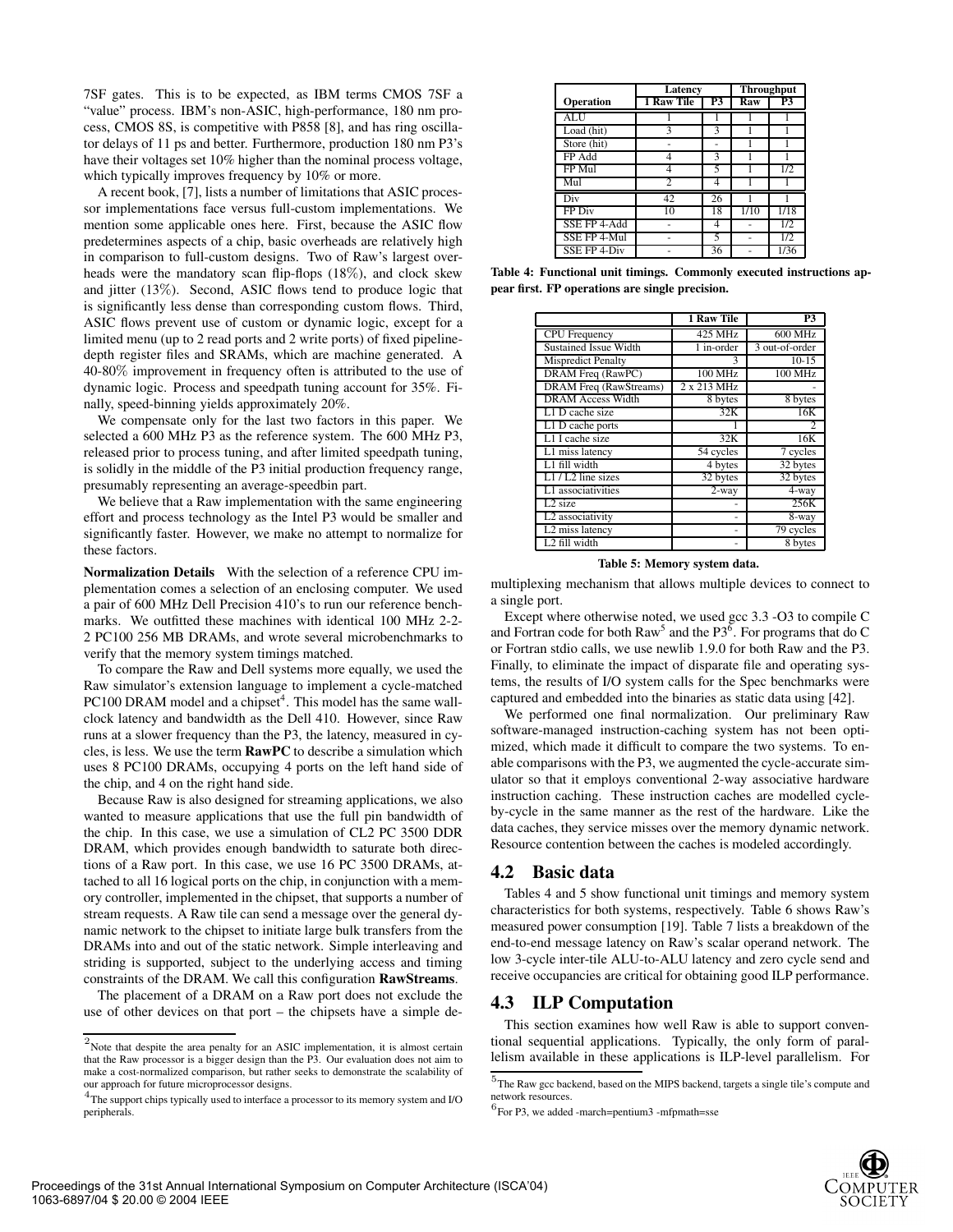7SF gates. This is to be expected, as IBM terms CMOS 7SF a "value" process. IBM's non-ASIC, high-performance, 180 nm process, CMOS 8S, is competitive with P858 [8], and has ring oscillator delays of 11 ps and better. Furthermore, production 180 nm P3's have their voltages set 10% higher than the nominal process voltage, which typically improves frequency by  $10\%$  or more.

A recent book, [7], lists a number of limitations that ASIC processor implementations face versus full-custom implementations. We mention some applicable ones here. First, because the ASIC flow predetermines aspects of a chip, basic overheads are relatively high in comparison to full-custom designs. Two of Raw's largest overheads were the mandatory scan flip-flops (18%), and clock skew and jitter (13%). Second, ASIC flows tend to produce logic that is significantly less dense than corresponding custom flows. Third, ASIC flows prevent use of custom or dynamic logic, except for a limited menu (up to 2 read ports and 2 write ports) of fixed pipelinedepth register files and SRAMs, which are machine generated. A 40-80% improvement in frequency often is attributed to the use of dynamic logic. Process and speedpath tuning account for 35%. Finally, speed-binning yields approximately 20%.

We compensate only for the last two factors in this paper. We selected a 600 MHz P3 as the reference system. The 600 MHz P3, released prior to process tuning, and after limited speedpath tuning, is solidly in the middle of the P3 initial production frequency range, presumably representing an average-speedbin part.

We believe that a Raw implementation with the same engineering effort and process technology as the Intel P3 would be smaller and significantly faster. However, we make no attempt to normalize for these factors.

**Normalization Details** With the selection of a reference CPU implementation comes a selection of an enclosing computer. We used a pair of 600 MHz Dell Precision 410's to run our reference benchmarks. We outfitted these machines with identical 100 MHz 2-2- 2 PC100 256 MB DRAMs, and wrote several microbenchmarks to verify that the memory system timings matched.

To compare the Raw and Dell systems more equally, we used the Raw simulator's extension language to implement a cycle-matched PC100 DRAM model and a chipset<sup>4</sup>. This model has the same wallclock latency and bandwidth as the Dell 410. However, since Raw runs at a slower frequency than the P3, the latency, measured in cycles, is less. We use the term **RawPC** to describe a simulation which uses 8 PC100 DRAMs, occupying 4 ports on the left hand side of the chip, and 4 on the right hand side.

Because Raw is also designed for streaming applications, we also wanted to measure applications that use the full pin bandwidth of the chip. In this case, we use a simulation of CL2 PC 3500 DDR DRAM, which provides enough bandwidth to saturate both directions of a Raw port. In this case, we use 16 PC 3500 DRAMs, attached to all 16 logical ports on the chip, in conjunction with a memory controller, implemented in the chipset, that supports a number of stream requests. A Raw tile can send a message over the general dynamic network to the chipset to initiate large bulk transfers from the DRAMs into and out of the static network. Simple interleaving and striding is supported, subject to the underlying access and timing constraints of the DRAM. We call this configuration **RawStreams**.

The placement of a DRAM on a Raw port does not exclude the use of other devices on that port – the chipsets have a simple de-

|                     | Latency           | <b>Throughput</b> |      |      |
|---------------------|-------------------|-------------------|------|------|
| Operation           | <b>1 Raw Tile</b> | P3                | Raw  | P3   |
| <b>ALU</b>          |                   |                   |      |      |
| Load (hit)          | 3                 | 3                 |      |      |
| Store (hit)         |                   |                   |      |      |
| FP Add              | 4                 | 3                 |      |      |
| FP Mul              |                   | 5                 |      | 1/2  |
| Mul                 | $\overline{c}$    | 4                 |      |      |
| Div                 | 42                | 26                |      |      |
| FP Div              | $\overline{10}$   | 18                | 1/10 | 1/18 |
| SSE FP 4-Add        |                   | 4                 |      | 1/2  |
| SSE FP 4-Mul        |                   | 5                 |      | 1/2  |
| <b>SSE FP 4-Div</b> |                   | 36                |      | 1/36 |

**Table 4: Functional unit timings. Commonly executed instructions appear first. FP operations are single precision.**

|                              | <b>1 Raw Tile</b> | P <sub>3</sub> |
|------------------------------|-------------------|----------------|
| <b>CPU</b> Frequency         | 425 MHz           | 600 MHz        |
| <b>Sustained Issue Width</b> | 1 in-order        | 3 out-of-order |
| <b>Mispredict Penalty</b>    | 3                 | $10-15$        |
| DRAM Freq (RawPC)            | <b>100 MHz</b>    | 100 MHz        |
| DRAM Freq (RawStreams)       | 2 x 213 MHz       |                |
| <b>DRAM Access Width</b>     | 8 bytes           | $8$ bytes      |
| L1 D cache size              | 32K               | 16K            |
| L1 D cache ports             |                   | $\overline{c}$ |
| L1 I cache size              | 32K               | 16K            |
| L1 miss latency              | 54 cycles         | 7 cycles       |
| L1 fill width                | 4 bytes           | 32 bytes       |
| $L1/L2$ line sizes           | 32 bytes          | 32 bytes       |
| L1 associativities           | $2$ -way          | 4-way          |
| L <sub>2</sub> size          |                   | 256K           |
| L2 associativity             | ۰                 | $8 - way$      |
| L2 miss latency              | ۰                 | 79 cycles      |
| L <sub>2</sub> fill width    |                   | 8 bytes        |

**Table 5: Memory system data.**

multiplexing mechanism that allows multiple devices to connect to a single port.

Except where otherwise noted, we used gcc 3.3 -O3 to compile C and Fortran code for both  $\text{Raw}^5$  and the P3<sup>6</sup>. For programs that do C or Fortran stdio calls, we use newlib 1.9.0 for both Raw and the P3. Finally, to eliminate the impact of disparate file and operating systems, the results of I/O system calls for the Spec benchmarks were captured and embedded into the binaries as static data using [42].

We performed one final normalization. Our preliminary Raw software-managed instruction-caching system has not been optimized, which made it difficult to compare the two systems. To enable comparisons with the P3, we augmented the cycle-accurate simulator so that it employs conventional 2-way associative hardware instruction caching. These instruction caches are modelled cycleby-cycle in the same manner as the rest of the hardware. Like the data caches, they service misses over the memory dynamic network. Resource contention between the caches is modeled accordingly.

## **4.2 Basic data**

Tables 4 and 5 show functional unit timings and memory system characteristics for both systems, respectively. Table 6 shows Raw's measured power consumption [19]. Table 7 lists a breakdown of the end-to-end message latency on Raw's scalar operand network. The low 3-cycle inter-tile ALU-to-ALU latency and zero cycle send and receive occupancies are critical for obtaining good ILP performance.

# **4.3 ILP Computation**

This section examines how well Raw is able to support conventional sequential applications. Typically, the only form of parallelism available in these applications is ILP-level parallelism. For



 $2$ Note that despite the area penalty for an ASIC implementation, it is almost certain that the Raw processor is a bigger design than the P3. Our evaluation does not aim to make a cost-normalized comparison, but rather seeks to demonstrate the scalability of our approach for future microprocessor designs.

<sup>&</sup>lt;sup>4</sup>The support chips typically used to interface a processor to its memory system and I/O peripherals.

 ${}^{5}$  The Raw gcc backend, based on the MIPS backend, targets a single tile's compute and network resources.

 ${}^{6}$ For P3, we added -march=pentium3 -mfpmath=sse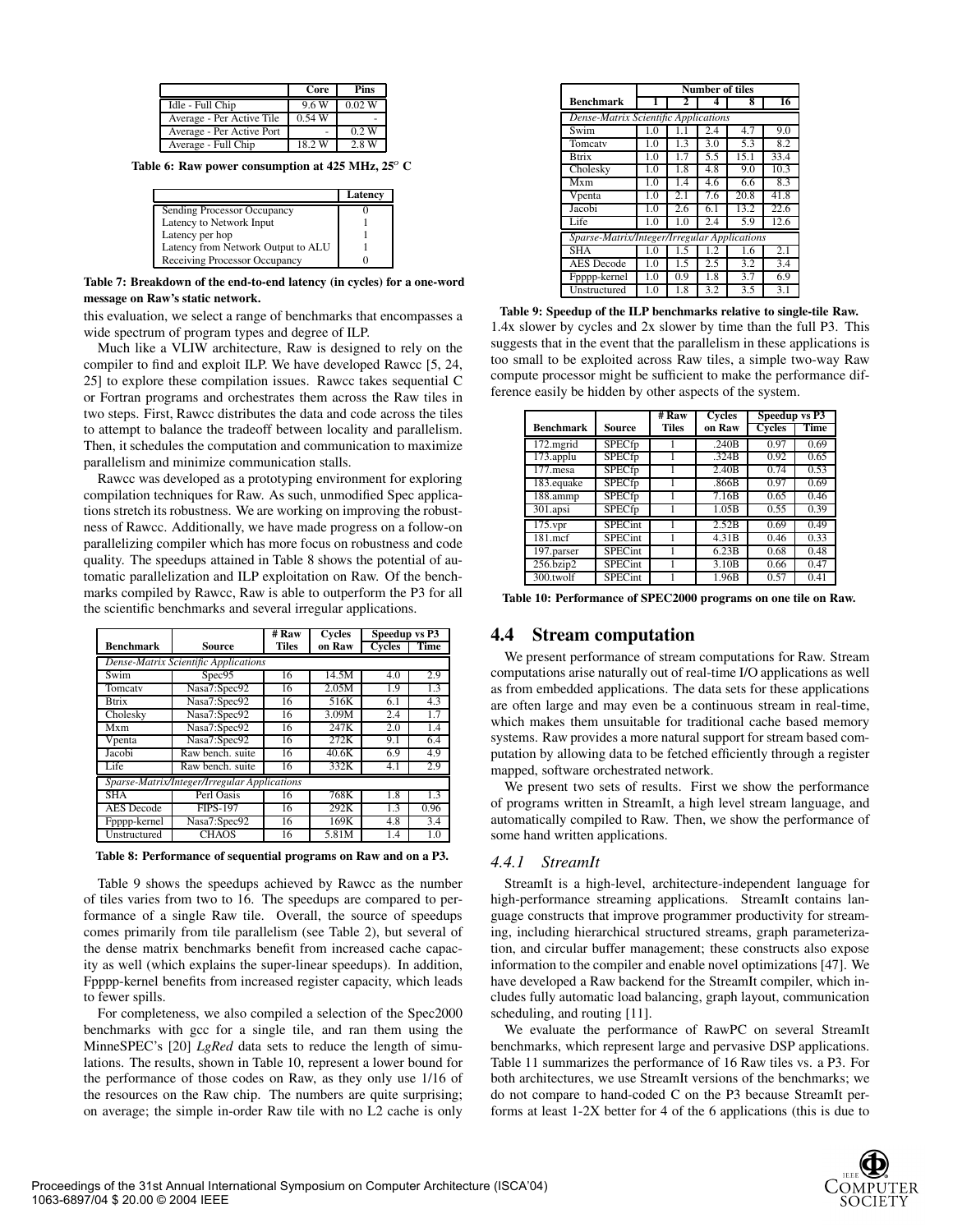|                           | Core   | Pins   |
|---------------------------|--------|--------|
| Idle - Full Chip          | 9.6 W  | 0.02 W |
| Average - Per Active Tile | 0.54 W |        |
| Average - Per Active Port |        | 0.2 W  |
| Average - Full Chip       | 18.2 W | 2.8 W  |

Table 6: Raw power consumption at 425 MHz, 25° C

|                                      | Latency |
|--------------------------------------|---------|
| Sending Processor Occupancy          |         |
| Latency to Network Input             |         |
| Latency per hop                      |         |
| Latency from Network Output to ALU   |         |
| <b>Receiving Processor Occupancy</b> |         |

**Table 7: Breakdown of the end-to-end latency (in cycles) for a one-word message on Raw's static network.**

this evaluation, we select a range of benchmarks that encompasses a wide spectrum of program types and degree of ILP.

Much like a VLIW architecture, Raw is designed to rely on the compiler to find and exploit ILP. We have developed Rawcc [5, 24, 25] to explore these compilation issues. Rawcc takes sequential C or Fortran programs and orchestrates them across the Raw tiles in two steps. First, Rawcc distributes the data and code across the tiles to attempt to balance the tradeoff between locality and parallelism. Then, it schedules the computation and communication to maximize parallelism and minimize communication stalls.

Rawcc was developed as a prototyping environment for exploring compilation techniques for Raw. As such, unmodified Spec applications stretch its robustness. We are working on improving the robustness of Rawcc. Additionally, we have made progress on a follow-on parallelizing compiler which has more focus on robustness and code quality. The speedups attained in Table 8 shows the potential of automatic parallelization and ILP exploitation on Raw. Of the benchmarks compiled by Rawcc, Raw is able to outperform the P3 for all the scientific benchmarks and several irregular applications.

|                          |                                              | # Raw        | <b>Cycles</b> | Speedup vs P3 |      |
|--------------------------|----------------------------------------------|--------------|---------------|---------------|------|
| <b>Benchmark</b>         | Source                                       | <b>Tiles</b> | on Raw        | <b>Cycles</b> | Time |
|                          | Dense-Matrix Scientific Applications         |              |               |               |      |
| Swim                     | Spec95                                       | 16           | 14.5M         | 4.0           | 2.9  |
| Tomcatv                  | Nasa7:Spec92                                 | 16           | 2.05M         | 1.9           | 1.3  |
| <b>Btrix</b>             | Nasa7:Spec92                                 | 16           | 516K          | 6.1           | 4.3  |
| Cholesky                 | Nasa7:Spec92                                 | 16           | 3.09M         | 2.4           | 1.7  |
| $\overline{\text{M}}$ xm | Nasa7:Spec92                                 | 16           | 247K          | 2.0           | 1.4  |
| Vpenta                   | Nasa7:Spec92                                 | 16           | 272K          | 9.1           | 6.4  |
| Jacobi                   | Raw bench, suite                             | 16           | 40.6K         | 6.9           | 4.9  |
| Life                     | Raw bench, suite                             | 16           | 332K          | 4.1           | 2.9  |
|                          | Sparse-Matrix/Integer/Irregular Applications |              |               |               |      |
| <b>SHA</b>               | Perl Oasis                                   | 16           | 768K          | 1.8           | 1.3  |
| <b>AES</b> Decode        | <b>FIPS-197</b>                              | 16           | 292K          | 1.3           | 0.96 |
| Fpppp-kernel             | Nasa7:Spec92                                 | 16           | 169K          | 4.8           | 3.4  |
| Unstructured             | <b>CHAOS</b>                                 | 16           | 5.81M         | 1.4           | 1.0  |

**Table 8: Performance of sequential programs on Raw and on a P3.**

Table 9 shows the speedups achieved by Rawcc as the number of tiles varies from two to 16. The speedups are compared to performance of a single Raw tile. Overall, the source of speedups comes primarily from tile parallelism (see Table 2), but several of the dense matrix benchmarks benefit from increased cache capacity as well (which explains the super-linear speedups). In addition, Fpppp-kernel benefits from increased register capacity, which leads to fewer spills.

For completeness, we also compiled a selection of the Spec2000 benchmarks with gcc for a single tile, and ran them using the MinneSPEC's [20] *LgRed* data sets to reduce the length of simulations. The results, shown in Table 10, represent a lower bound for the performance of those codes on Raw, as they only use 1/16 of the resources on the Raw chip. The numbers are quite surprising; on average; the simple in-order Raw tile with no L2 cache is only

|                                              | <b>Number</b> of tiles |                  |                  |                  |      |  |
|----------------------------------------------|------------------------|------------------|------------------|------------------|------|--|
| <b>Benchmark</b>                             | 1                      | 2                | 4                | 8                | T6   |  |
| <b>Dense-Matrix Scientific Applications</b>  |                        |                  |                  |                  |      |  |
| Swim                                         | 1.0                    | 1.1              | 2.4              | 4.7              | 9.0  |  |
| Tomcaty                                      | 1.0                    | 1.3              | 3.0              | 5.3              | 8.2  |  |
| <b>Btrix</b>                                 | 1.0                    | 1.7              | 5.5              | 15.1             | 33.4 |  |
| Cholesky                                     | 1.0                    | 1.8              | $\overline{4.8}$ | 9.0              | 10.3 |  |
| Mxm                                          | 1.0                    | 1.4              | 4.6              | 6.6              | 8.3  |  |
| Vpenta                                       | 1.0                    | 2.1              | 7.6              | 20.8             | 41.8 |  |
| Jacobi                                       | 1.0                    | $\overline{2.6}$ | 6.1              | 13.2             | 22.6 |  |
| Life                                         | 1.0                    | 1.0              | 2.4              | 5.9              | 12.6 |  |
| Sparse-Matrix/Integer/Irregular Applications |                        |                  |                  |                  |      |  |
| <b>SHA</b>                                   | 1.0                    | 1.5              | 1.2              | 1.6              | 2.1  |  |
| <b>AES</b> Decode                            | 1.0                    | 1.5              | $\overline{2.5}$ | $\overline{3.2}$ | 3.4  |  |
| Fpppp-kernel                                 | 1.0                    | 0.9              | 1.8              | 3.7              | 6.9  |  |
| Unstructured                                 | 1.0                    | 1.8              | 3.2              | 3.5              | 3.1  |  |

**Table 9: Speedup of the ILP benchmarks relative to single-tile Raw.** 1.4x slower by cycles and 2x slower by time than the full P3. This suggests that in the event that the parallelism in these applications is too small to be exploited across Raw tiles, a simple two-way Raw compute processor might be sufficient to make the performance difference easily be hidden by other aspects of the system.

|             |                | # Raw | <b>Cycles</b>     | Speedup vs P3 |             |
|-------------|----------------|-------|-------------------|---------------|-------------|
| Benchmark   | Source         | Tiles | on Raw            | <b>Cycles</b> | <b>Time</b> |
| 172.mgrid   | SPECfp         |       | .240B             | 0.97          | 0.69        |
| 173.applu   | SPECfp         |       | .324B             | 0.92          | 0.65        |
| $177$ mesa  | SPECfp         |       | 2.40 <sub>B</sub> | 0.74          | 0.53        |
| 183.equake  | SPECfp         |       | .866B             | 0.97          | 0.69        |
| 188.ammp    | SPECfp         |       | 7.16B             | 0.65          | 0.46        |
| 301.apsi    | SPECfp         |       | 1.05B             | 0.55          | 0.39        |
| $175$ . vpr | <b>SPECint</b> |       | 2.52B             | 0.69          | 0.49        |
| $181$ .mcf  | <b>SPECint</b> |       | 4.31B             | 0.46          | 0.33        |
| 197.parser  | <b>SPECint</b> |       | 6.23B             | 0.68          | 0.48        |
| 256.bzip2   | <b>SPECint</b> |       | 3.10 <sub>B</sub> | 0.66          | 0.47        |
| 300.twolf   | <b>SPECint</b> |       | 1.96B             | 0.57          | 0.41        |

**Table 10: Performance of SPEC2000 programs on one tile on Raw.**

# **4.4 Stream computation**

We present performance of stream computations for Raw. Stream computations arise naturally out of real-time I/O applications as well as from embedded applications. The data sets for these applications are often large and may even be a continuous stream in real-time, which makes them unsuitable for traditional cache based memory systems. Raw provides a more natural support for stream based computation by allowing data to be fetched efficiently through a register mapped, software orchestrated network.

We present two sets of results. First we show the performance of programs written in StreamIt, a high level stream language, and automatically compiled to Raw. Then, we show the performance of some hand written applications.

## *4.4.1 StreamIt*

StreamIt is a high-level, architecture-independent language for high-performance streaming applications. StreamIt contains language constructs that improve programmer productivity for streaming, including hierarchical structured streams, graph parameterization, and circular buffer management; these constructs also expose information to the compiler and enable novel optimizations [47]. We have developed a Raw backend for the StreamIt compiler, which includes fully automatic load balancing, graph layout, communication scheduling, and routing [11].

We evaluate the performance of RawPC on several StreamIt benchmarks, which represent large and pervasive DSP applications. Table 11 summarizes the performance of 16 Raw tiles vs. a P3. For both architectures, we use StreamIt versions of the benchmarks; we do not compare to hand-coded C on the P3 because StreamIt performs at least 1-2X better for 4 of the 6 applications (this is due to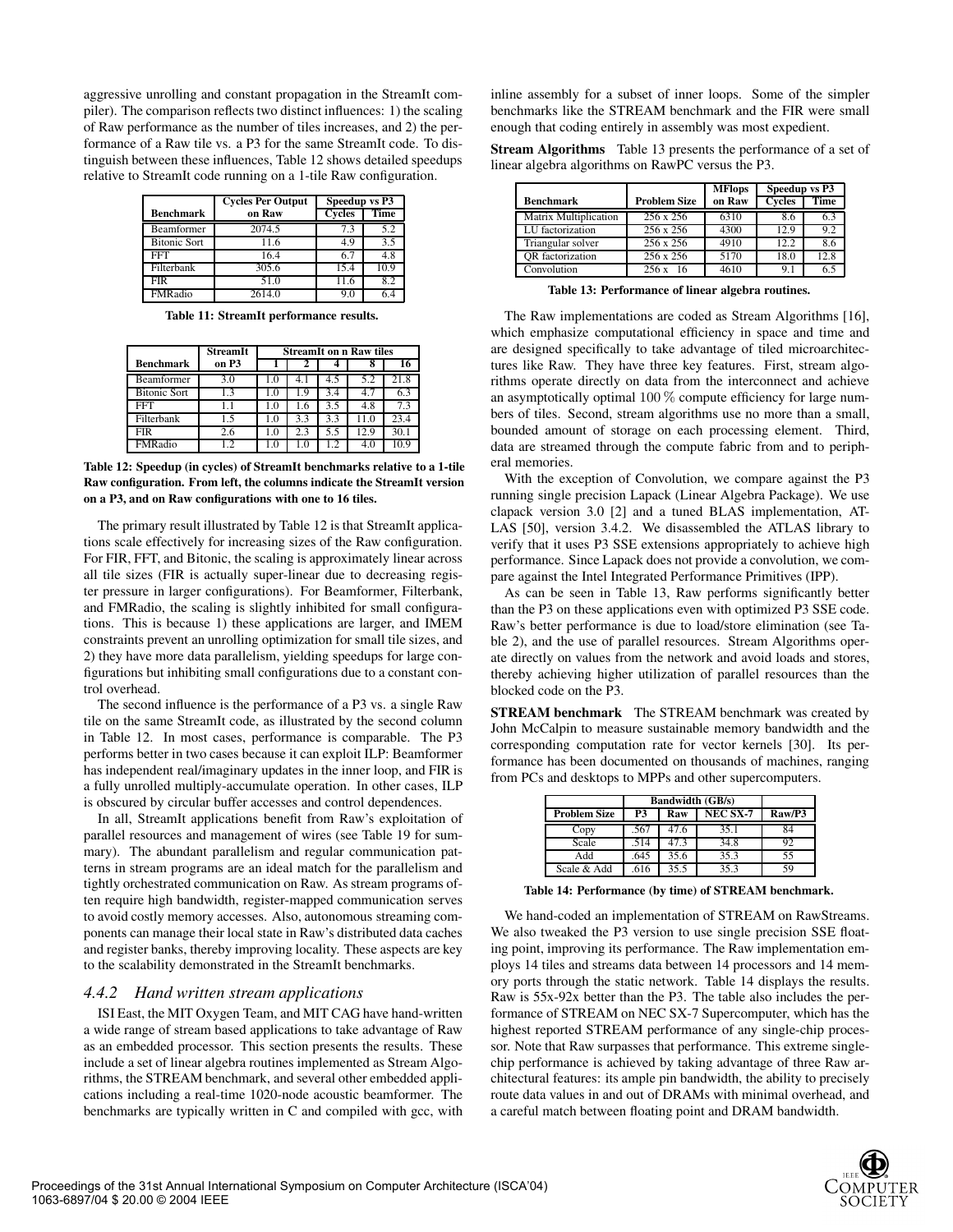aggressive unrolling and constant propagation in the StreamIt compiler). The comparison reflects two distinct influences: 1) the scaling of Raw performance as the number of tiles increases, and 2) the performance of a Raw tile vs. a P3 for the same StreamIt code. To distinguish between these influences, Table 12 shows detailed speedups relative to StreamIt code running on a 1-tile Raw configuration.

|                     | <b>Cycles Per Output</b> | Speedup vs P3 |      |
|---------------------|--------------------------|---------------|------|
| <b>Benchmark</b>    | on Raw                   | Cycles        | Time |
| Beamformer          | 2074.5                   | 7.3           | 5.2  |
| <b>Bitonic Sort</b> | 11.6                     | 4.9           | 3.5  |
| <b>FFT</b>          | 16.4                     | 6.7           | 4.8  |
| Filterbank          | 305.6                    | 15.4          | 10.9 |
| <b>FIR</b>          | 51.0                     | 11.6          | 8.2  |
| <b>FMRadio</b>      | 2614.0                   |               | 64   |

**Table 11: StreamIt performance results.**

|                     | <b>StreamIt</b> | <b>StreamIt on n Raw tiles</b> |     |     |      |      |
|---------------------|-----------------|--------------------------------|-----|-----|------|------|
| <b>Benchmark</b>    | on P3           |                                |     |     |      |      |
| Beamformer          | 3.0             | 1.0                            | 4.1 | 4.5 | 5.2  | 21.8 |
| <b>Bitonic Sort</b> | 1.3             | 1.0                            | 19  | 3.4 | 4.7  | 6.3  |
| <b>FFT</b>          | 1.1             | 1.0                            | 1.6 | 3.5 | 4.8  | 7.3  |
| Filterbank          | 1.5             | 1.0                            | 3.3 | 3.3 | 11.0 | 23.4 |
| <b>FIR</b>          | 2.6             | 1.0                            | 2.3 | 5.5 | 12.9 | 30.1 |
| <b>FMRadio</b>      | $\cdot$         |                                | 10  | 1.2 | 4.0  | 10.9 |

**Table 12: Speedup (in cycles) of StreamIt benchmarks relative to a 1-tile Raw configuration. From left, the columns indicate the StreamIt version on a P3, and on Raw configurations with one to 16 tiles.**

The primary result illustrated by Table 12 is that StreamIt applications scale effectively for increasing sizes of the Raw configuration. For FIR, FFT, and Bitonic, the scaling is approximately linear across all tile sizes (FIR is actually super-linear due to decreasing register pressure in larger configurations). For Beamformer, Filterbank, and FMRadio, the scaling is slightly inhibited for small configurations. This is because 1) these applications are larger, and IMEM constraints prevent an unrolling optimization for small tile sizes, and 2) they have more data parallelism, yielding speedups for large configurations but inhibiting small configurations due to a constant control overhead.

The second influence is the performance of a P3 vs. a single Raw tile on the same StreamIt code, as illustrated by the second column in Table 12. In most cases, performance is comparable. The P3 performs better in two cases because it can exploit ILP: Beamformer has independent real/imaginary updates in the inner loop, and FIR is a fully unrolled multiply-accumulate operation. In other cases, ILP is obscured by circular buffer accesses and control dependences.

In all, StreamIt applications benefit from Raw's exploitation of parallel resources and management of wires (see Table 19 for summary). The abundant parallelism and regular communication patterns in stream programs are an ideal match for the parallelism and tightly orchestrated communication on Raw. As stream programs often require high bandwidth, register-mapped communication serves to avoid costly memory accesses. Also, autonomous streaming components can manage their local state in Raw's distributed data caches and register banks, thereby improving locality. These aspects are key to the scalability demonstrated in the StreamIt benchmarks.

#### *4.4.2 Hand written stream applications*

ISI East, the MIT Oxygen Team, and MIT CAG have hand-written a wide range of stream based applications to take advantage of Raw as an embedded processor. This section presents the results. These include a set of linear algebra routines implemented as Stream Algorithms, the STREAM benchmark, and several other embedded applications including a real-time 1020-node acoustic beamformer. The benchmarks are typically written in C and compiled with gcc, with inline assembly for a subset of inner loops. Some of the simpler benchmarks like the STREAM benchmark and the FIR were small enough that coding entirely in assembly was most expedient.

**Stream Algorithms** Table 13 presents the performance of a set of linear algebra algorithms on RawPC versus the P3.

|                              |                     | <b>MFlops</b> | Speedup vs P3 |      |
|------------------------------|---------------------|---------------|---------------|------|
| <b>Benchmark</b>             | <b>Problem Size</b> | on Raw        | <b>Cycles</b> | Time |
| <b>Matrix Multiplication</b> | 256 x 256           | 6310          | 8.6           | 6.3  |
| LU factorization             | 256 x 256           | 4300          | 12.9          | 9.2  |
| Triangular solver            | 256 x 256           | 4910          | 12.2          | 8.6  |
| <b>OR</b> factorization      | 256 x 256           | 5170          | 18.0          | 12.8 |
| Convolution                  | 256x<br>16          | 4610          | 9.1           | 6.5  |

**Table 13: Performance of linear algebra routines.**

The Raw implementations are coded as Stream Algorithms [16], which emphasize computational efficiency in space and time and are designed specifically to take advantage of tiled microarchitectures like Raw. They have three key features. First, stream algorithms operate directly on data from the interconnect and achieve an asymptotically optimal 100 % compute efficiency for large numbers of tiles. Second, stream algorithms use no more than a small, bounded amount of storage on each processing element. Third, data are streamed through the compute fabric from and to peripheral memories.

With the exception of Convolution, we compare against the P3 running single precision Lapack (Linear Algebra Package). We use clapack version 3.0 [2] and a tuned BLAS implementation, AT-LAS [50], version 3.4.2. We disassembled the ATLAS library to verify that it uses P3 SSE extensions appropriately to achieve high performance. Since Lapack does not provide a convolution, we compare against the Intel Integrated Performance Primitives (IPP).

As can be seen in Table 13, Raw performs significantly better than the P3 on these applications even with optimized P3 SSE code. Raw's better performance is due to load/store elimination (see Table 2), and the use of parallel resources. Stream Algorithms operate directly on values from the network and avoid loads and stores, thereby achieving higher utilization of parallel resources than the blocked code on the P3.

**STREAM benchmark** The STREAM benchmark was created by John McCalpin to measure sustainable memory bandwidth and the corresponding computation rate for vector kernels [30]. Its performance has been documented on thousands of machines, ranging from PCs and desktops to MPPs and other supercomputers.

|                     | <b>Bandwidth</b> (GB/s) |      |                 |        |  |
|---------------------|-------------------------|------|-----------------|--------|--|
| <b>Problem Size</b> | P3                      | Raw  | <b>NEC SX-7</b> | Raw/P3 |  |
| Copy                | .567                    | 47.6 | 35.1            | 84     |  |
| Scale               | .514                    | 47.3 | 34.8            | 92     |  |
| Add                 | .645                    | 35.6 | 35.3            | 55     |  |
| Scale & Add         | .616                    | 35.5 | 35.3            | 59     |  |

**Table 14: Performance (by time) of STREAM benchmark.**

We hand-coded an implementation of STREAM on RawStreams. We also tweaked the P3 version to use single precision SSE floating point, improving its performance. The Raw implementation employs 14 tiles and streams data between 14 processors and 14 memory ports through the static network. Table 14 displays the results. Raw is 55x-92x better than the P3. The table also includes the performance of STREAM on NEC SX-7 Supercomputer, which has the highest reported STREAM performance of any single-chip processor. Note that Raw surpasses that performance. This extreme singlechip performance is achieved by taking advantage of three Raw architectural features: its ample pin bandwidth, the ability to precisely route data values in and out of DRAMs with minimal overhead, and a careful match between floating point and DRAM bandwidth.

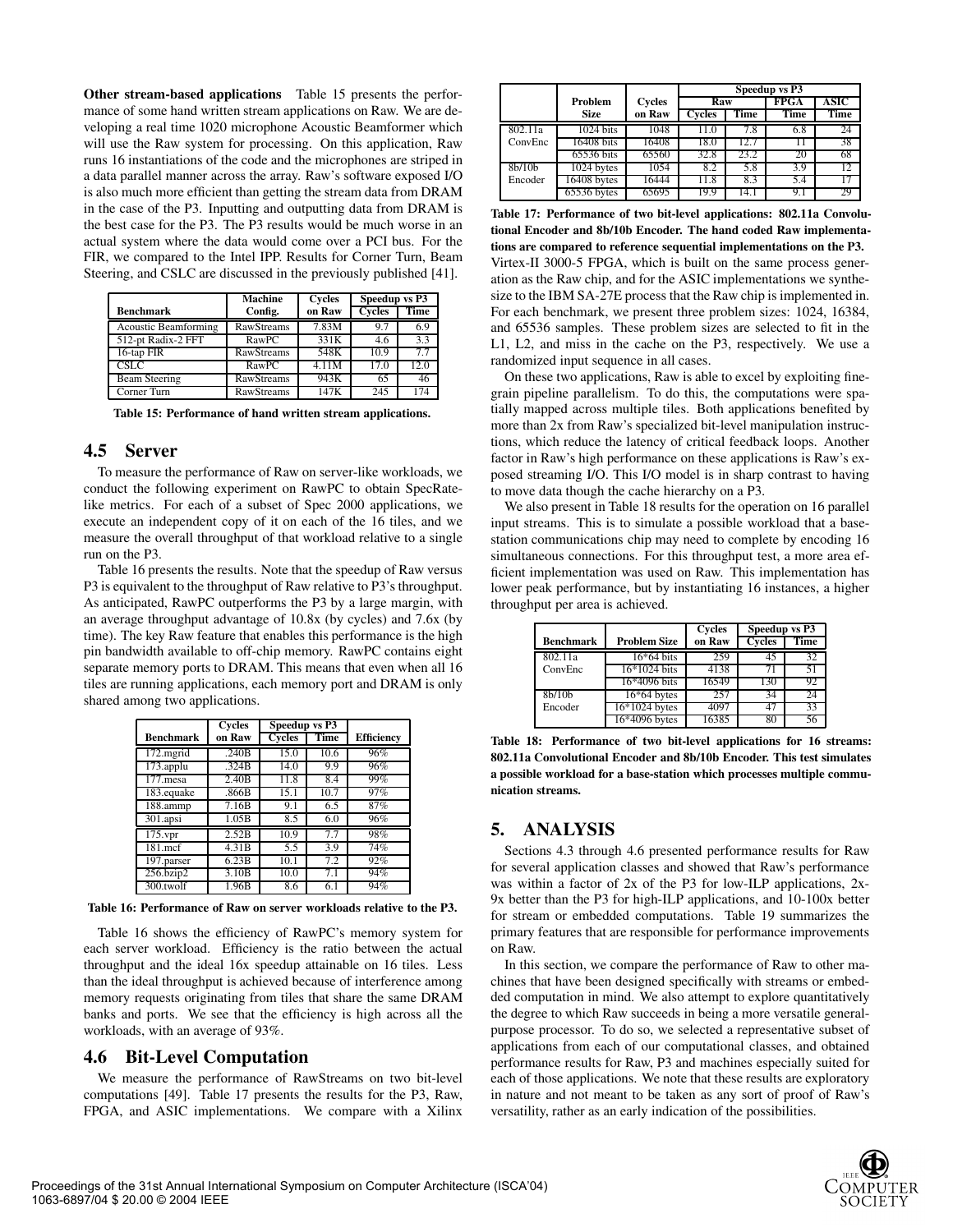**Other stream-based applications** Table 15 presents the performance of some hand written stream applications on Raw. We are developing a real time 1020 microphone Acoustic Beamformer which will use the Raw system for processing. On this application, Raw runs 16 instantiations of the code and the microphones are striped in a data parallel manner across the array. Raw's software exposed I/O is also much more efficient than getting the stream data from DRAM in the case of the P3. Inputting and outputting data from DRAM is the best case for the P3. The P3 results would be much worse in an actual system where the data would come over a PCI bus. For the FIR, we compared to the Intel IPP. Results for Corner Turn, Beam Steering, and CSLC are discussed in the previously published [41].

|                             | Machine           | <b>Cycles</b> | Speedup vs P3 |      |
|-----------------------------|-------------------|---------------|---------------|------|
| <b>Benchmark</b>            | Config.           | on Raw        | <b>Cycles</b> | Time |
| <b>Acoustic Beamforming</b> | <b>RawStreams</b> | 7.83M         | 9.7           | 6.9  |
| 512-pt Radix-2 FFT          | RawPC             | 331K          | 4.6           | 3.3  |
| 16-tap FIR                  | <b>RawStreams</b> | 548K          | 10.9          | 7.7  |
| <b>CSLC</b>                 | RawPC             | 4.11M         | 17.0          | 12.0 |
| <b>Beam Steering</b>        | RawStreams        | 943K          | 65            | 46   |
| Corner Turn                 | <b>RawStreams</b> | 147K          | 245           | 174  |

**Table 15: Performance of hand written stream applications.**

#### **4.5 Server**

To measure the performance of Raw on server-like workloads, we conduct the following experiment on RawPC to obtain SpecRatelike metrics. For each of a subset of Spec 2000 applications, we execute an independent copy of it on each of the 16 tiles, and we measure the overall throughput of that workload relative to a single run on the P3.

Table 16 presents the results. Note that the speedup of Raw versus P3 is equivalent to the throughput of Raw relative to P3's throughput. As anticipated, RawPC outperforms the P3 by a large margin, with an average throughput advantage of 10.8x (by cycles) and 7.6x (by time). The key Raw feature that enables this performance is the high pin bandwidth available to off-chip memory. RawPC contains eight separate memory ports to DRAM. This means that even when all 16 tiles are running applications, each memory port and DRAM is only shared among two applications.

|                  | <b>Cycles</b> | Speedup vs P3     |      |                   |
|------------------|---------------|-------------------|------|-------------------|
| <b>Benchmark</b> | on Raw        | <b>Cycles</b>     | Time | <b>Efficiency</b> |
| 172.mgrid        | .240B         | 15.0              | 10.6 | 96%               |
| 173.applu        | .324B         | 14.0              | 9.9  | 96%               |
| $177$ . mesa     | 2.40B         | $\overline{11.8}$ | 8.4  | 99%               |
| $183$ .equake    | .866B         | 15.1              | 10.7 | 97%               |
| $188$ .ammp      | 7.16B         | 9.1               | 6.5  | 87%               |
| 301.apsi         | 1.05B         | 8.5               | 6.0  | 96%               |
| 175.vpr          | 2.52B         | 10.9              | 7.7  | 98%               |
| $181$ .mcf       | 4.31B         | 5.5               | 3.9  | 74%               |
| 197.parser       | 6.23B         | 10.1              | 7.2  | 92%               |
| 256.bzip2        | 3.10B         | 10.0              | 7.1  | 94%               |
| $300$ .twolf     | 1.96B         | 8.6               | 6.1  | 94%               |

**Table 16: Performance of Raw on server workloads relative to the P3.**

Table 16 shows the efficiency of RawPC's memory system for each server workload. Efficiency is the ratio between the actual throughput and the ideal 16x speedup attainable on 16 tiles. Less than the ideal throughput is achieved because of interference among memory requests originating from tiles that share the same DRAM banks and ports. We see that the efficiency is high across all the workloads, with an average of 93%.

#### **4.6 Bit-Level Computation**

We measure the performance of RawStreams on two bit-level computations [49]. Table 17 presents the results for the P3, Raw, FPGA, and ASIC implementations. We compare with a Xilinx

|         |               |               | Speedup vs P3 |      |             |             |
|---------|---------------|---------------|---------------|------|-------------|-------------|
|         | Problem       | <b>Cycles</b> | Raw           |      | <b>FPGA</b> | <b>ASIC</b> |
|         | <b>Size</b>   | on Raw        | Cycles        | Time | Time        | Time        |
| 802.11a | $1024$ bits   | 1048          | 11.0          | 7.8  | 6.8         | 24          |
| ConvEnc | 16408 bits    | 16408         | 18.0          |      | . .         | 38          |
|         | 65536 bits    | 65560         | 32.8          | 23.2 | 20          | 68          |
| 8b/10b  | 1024 bytes    | 1054          | 8.2           | 5.8  | 3.9         | 12          |
| Encoder | 16408 bytes   | 16444         | 11.8          | 8.3  | 5.4         |             |
|         | $65536$ bytes | 65695         | 19.9          | 14.1 | 9.1         | 29          |

**Table 17: Performance of two bit-level applications: 802.11a Convolutional Encoder and 8b/10b Encoder. The hand coded Raw implementations are compared to reference sequential implementations on the P3.** Virtex-II 3000-5 FPGA, which is built on the same process generation as the Raw chip, and for the ASIC implementations we synthesize to the IBM SA-27E process that the Raw chip is implemented in. For each benchmark, we present three problem sizes: 1024, 16384, and 65536 samples. These problem sizes are selected to fit in the L1, L2, and miss in the cache on the P3, respectively. We use a randomized input sequence in all cases.

On these two applications, Raw is able to excel by exploiting finegrain pipeline parallelism. To do this, the computations were spatially mapped across multiple tiles. Both applications benefited by more than 2x from Raw's specialized bit-level manipulation instructions, which reduce the latency of critical feedback loops. Another factor in Raw's high performance on these applications is Raw's exposed streaming I/O. This I/O model is in sharp contrast to having to move data though the cache hierarchy on a P3.

We also present in Table 18 results for the operation on 16 parallel input streams. This is to simulate a possible workload that a basestation communications chip may need to complete by encoding 16 simultaneous connections. For this throughput test, a more area efficient implementation was used on Raw. This implementation has lower peak performance, but by instantiating 16 instances, a higher throughput per area is achieved.

|                  |                     | <b>Cycles</b> | Speedup vs P3 |      |
|------------------|---------------------|---------------|---------------|------|
| <b>Benchmark</b> | <b>Problem Size</b> | on Raw        | <b>Cycles</b> | Time |
| 802.11a          | $16*64$ bits        | 259           | 45            | 32   |
| ConvEnc          | 16*1024 bits        | 4138          |               |      |
|                  | 16*4096 bits        | 16549         | 130           | 92   |
| 8b/10b           | $16*64$ bytes       | 257           | 34            | 24   |
| Encoder          | 16*1024 bytes       | 4097          | 47            | 33   |
|                  | 16*4096 bytes       | 16385         | 80            |      |

**Table 18: Performance of two bit-level applications for 16 streams: 802.11a Convolutional Encoder and 8b/10b Encoder. This test simulates a possible workload for a base-station which processes multiple communication streams.**

#### **5. ANALYSIS**

Sections 4.3 through 4.6 presented performance results for Raw for several application classes and showed that Raw's performance was within a factor of 2x of the P3 for low-ILP applications, 2x-9x better than the P3 for high-ILP applications, and 10-100x better for stream or embedded computations. Table 19 summarizes the primary features that are responsible for performance improvements on Raw.

In this section, we compare the performance of Raw to other machines that have been designed specifically with streams or embedded computation in mind. We also attempt to explore quantitatively the degree to which Raw succeeds in being a more versatile generalpurpose processor. To do so, we selected a representative subset of applications from each of our computational classes, and obtained performance results for Raw, P3 and machines especially suited for each of those applications. We note that these results are exploratory in nature and not meant to be taken as any sort of proof of Raw's versatility, rather as an early indication of the possibilities.

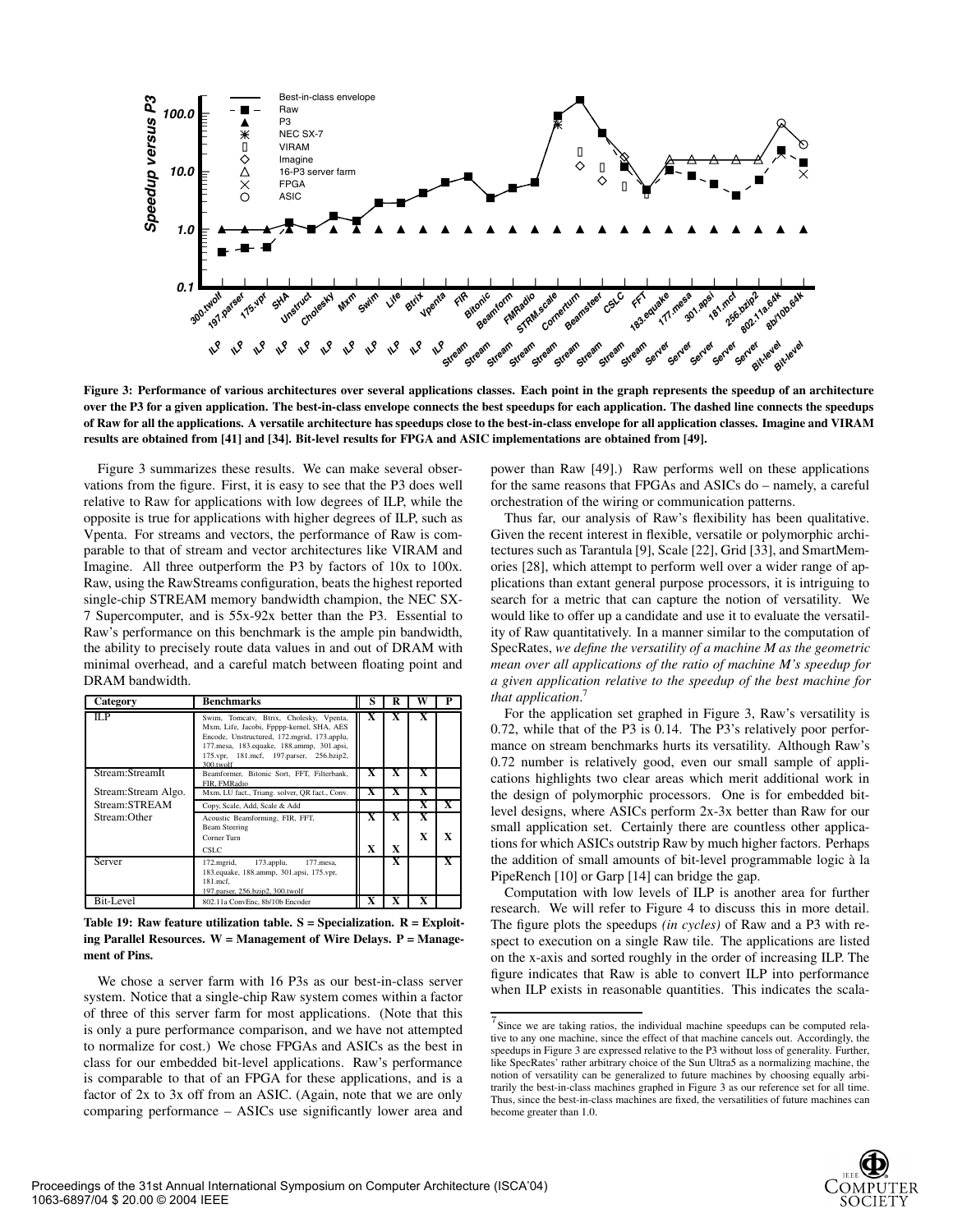

**Figure 3: Performance of various architectures over several applications classes. Each point in the graph represents the speedup of an architecture over the P3 for a given application. The best-in-class envelope connects the best speedups for each application. The dashed line connects the speedups of Raw for all the applications. A versatile architecture has speedups close to the best-in-class envelope for all application classes. Imagine and VIRAM results are obtained from [41] and [34]. Bit-level results for FPGA and ASIC implementations are obtained from [49].**

Figure 3 summarizes these results. We can make several observations from the figure. First, it is easy to see that the P3 does well relative to Raw for applications with low degrees of ILP, while the opposite is true for applications with higher degrees of ILP, such as Vpenta. For streams and vectors, the performance of Raw is comparable to that of stream and vector architectures like VIRAM and Imagine. All three outperform the P3 by factors of 10x to 100x. Raw, using the RawStreams configuration, beats the highest reported single-chip STREAM memory bandwidth champion, the NEC SX-7 Supercomputer, and is 55x-92x better than the P3. Essential to Raw's performance on this benchmark is the ample pin bandwidth, the ability to precisely route data values in and out of DRAM with minimal overhead, and a careful match between floating point and DRAM bandwidth.

| Category             | <b>Benchmarks</b>                                                                                                                                                                                                                               | S | R | W | р |
|----------------------|-------------------------------------------------------------------------------------------------------------------------------------------------------------------------------------------------------------------------------------------------|---|---|---|---|
| ILP                  | Swim, Tomcatv, Btrix, Cholesky, Vpenta,<br>Mxm, Life, Jacobi, Fpppp-kernel, SHA, AES<br>Encode, Unstructured, 172.mgrid, 173.applu,<br>177.mesa, 183.equake, 188.ammp, 301.apsi,<br>175. vpr. 181. mcf, 197. parser, 256. bzip2,<br>$300$ twolf | X | X | X |   |
| Stream:StreamIt      | Beamformer, Bitonic Sort, FFT, Filterbank,<br>FIR. FMRadio                                                                                                                                                                                      | X | X | X |   |
| Stream: Stream Algo. | Mxm, LU fact., Triang. solver, QR fact., Conv.                                                                                                                                                                                                  | x | x | x |   |
| Stream:STREAM        | Copy, Scale, Add, Scale & Add                                                                                                                                                                                                                   |   |   | X |   |
| Stream:Other         | Acoustic Beamforming, FIR, FFT,<br><b>Beam Steering</b><br>Corner Turn                                                                                                                                                                          |   |   | X |   |
|                      | CSLC.                                                                                                                                                                                                                                           | X | X |   |   |
| Server               | 172.mgrid,<br>$173$ .applu,<br>177.mesa.<br>183.equake, 188.ammp, 301.apsi, 175.vpr,<br>181.mcf.<br>197.parser, 256.bzip2, 300.twolf                                                                                                            |   | X |   |   |
| <b>Bit-Level</b>     | 802.11a ConvEnc, 8b/10b Encoder                                                                                                                                                                                                                 | X | X | X |   |

**Table 19: Raw feature utilization table. S = Specialization. R = Exploiting Parallel Resources. W = Management of Wire Delays. P = Management of Pins.**

We chose a server farm with 16 P3s as our best-in-class server system. Notice that a single-chip Raw system comes within a factor of three of this server farm for most applications. (Note that this is only a pure performance comparison, and we have not attempted to normalize for cost.) We chose FPGAs and ASICs as the best in class for our embedded bit-level applications. Raw's performance is comparable to that of an FPGA for these applications, and is a factor of 2x to 3x off from an ASIC. (Again, note that we are only comparing performance – ASICs use significantly lower area and power than Raw [49].) Raw performs well on these applications for the same reasons that FPGAs and ASICs do – namely, a careful orchestration of the wiring or communication patterns.

Thus far, our analysis of Raw's flexibility has been qualitative. Given the recent interest in flexible, versatile or polymorphic architectures such as Tarantula [9], Scale [22], Grid [33], and SmartMemories [28], which attempt to perform well over a wider range of applications than extant general purpose processors, it is intriguing to search for a metric that can capture the notion of versatility. We would like to offer up a candidate and use it to evaluate the versatility of Raw quantitatively. In a manner similar to the computation of SpecRates, *we define the versatility of a machine M as the geometric mean over all applications of the ratio of machine M's speedup for a given application relative to the speedup of the best machine for that application*. 7

For the application set graphed in Figure 3, Raw's versatility is 0.72, while that of the P3 is 0.14. The P3's relatively poor performance on stream benchmarks hurts its versatility. Although Raw's 0.72 number is relatively good, even our small sample of applications highlights two clear areas which merit additional work in the design of polymorphic processors. One is for embedded bitlevel designs, where ASICs perform 2x-3x better than Raw for our small application set. Certainly there are countless other applications for which ASICs outstrip Raw by much higher factors. Perhaps the addition of small amounts of bit-level programmable logic à la PipeRench [10] or Garp [14] can bridge the gap.

Computation with low levels of ILP is another area for further research. We will refer to Figure 4 to discuss this in more detail. The figure plots the speedups *(in cycles)* of Raw and a P3 with respect to execution on a single Raw tile. The applications are listed on the x-axis and sorted roughly in the order of increasing ILP. The figure indicates that Raw is able to convert ILP into performance when ILP exists in reasonable quantities. This indicates the scala-

<sup>7</sup>Since we are taking ratios, the individual machine speedups can be computed relative to any one machine, since the effect of that machine cancels out. Accordingly, the speedups in Figure 3 are expressed relative to the P3 without loss of generality. Further, like SpecRates' rather arbitrary choice of the Sun Ultra5 as a normalizing machine, the notion of versatility can be generalized to future machines by choosing equally arbitrarily the best-in-class machines graphed in Figure 3 as our reference set for all time. Thus, since the best-in-class machines are fixed, the versatilities of future machines can become greater than 1.0.

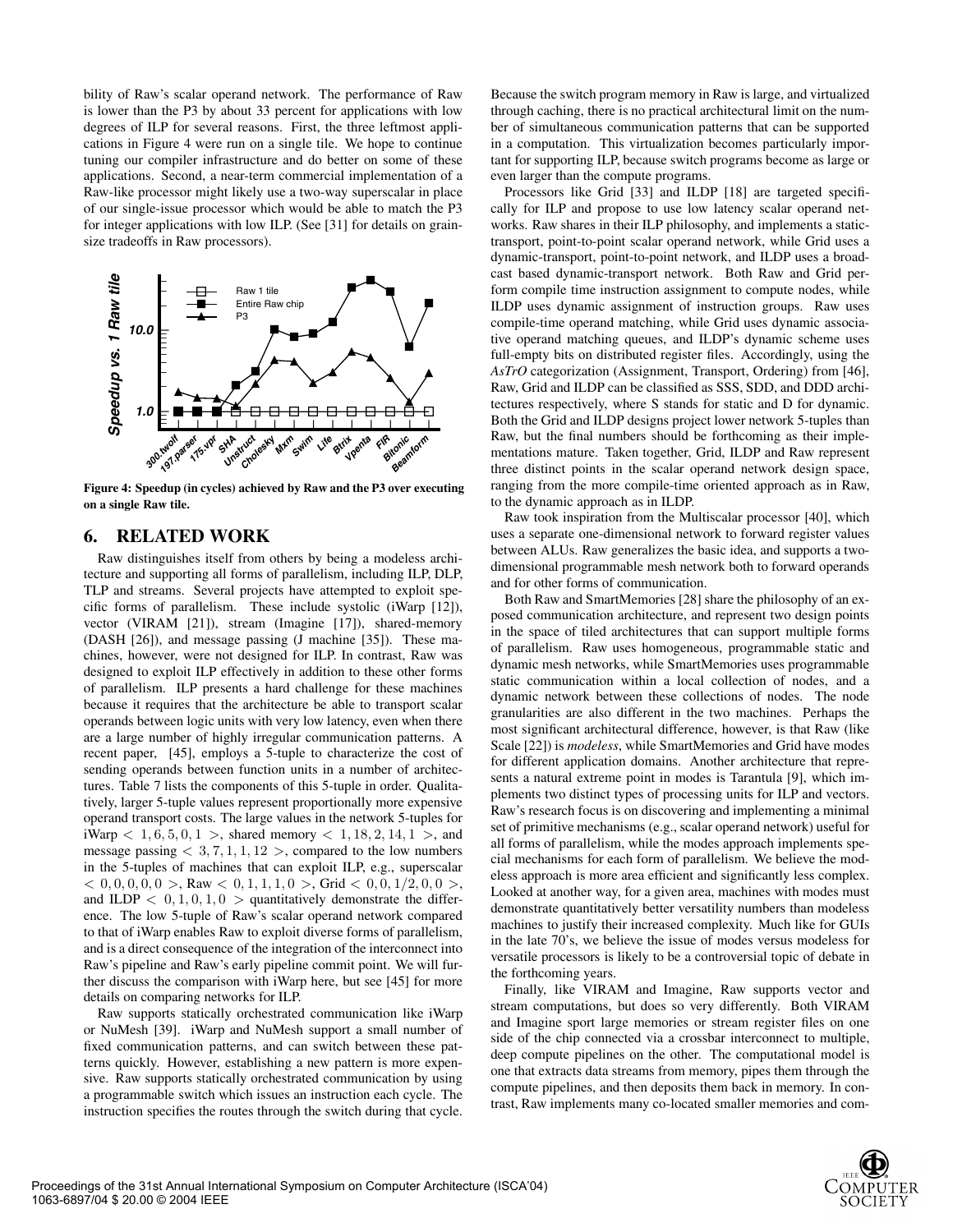bility of Raw's scalar operand network. The performance of Raw is lower than the P3 by about 33 percent for applications with low degrees of ILP for several reasons. First, the three leftmost applications in Figure 4 were run on a single tile. We hope to continue tuning our compiler infrastructure and do better on some of these applications. Second, a near-term commercial implementation of a Raw-like processor might likely use a two-way superscalar in place of our single-issue processor which would be able to match the P3 for integer applications with low ILP. (See [31] for details on grainsize tradeoffs in Raw processors).



**Figure 4: Speedup (in cycles) achieved by Raw and the P3 over executing on a single Raw tile.**

### **6. RELATED WORK**

Raw distinguishes itself from others by being a modeless architecture and supporting all forms of parallelism, including ILP, DLP, TLP and streams. Several projects have attempted to exploit specific forms of parallelism. These include systolic (iWarp [12]), vector (VIRAM [21]), stream (Imagine [17]), shared-memory (DASH [26]), and message passing (J machine [35]). These machines, however, were not designed for ILP. In contrast, Raw was designed to exploit ILP effectively in addition to these other forms of parallelism. ILP presents a hard challenge for these machines because it requires that the architecture be able to transport scalar operands between logic units with very low latency, even when there are a large number of highly irregular communication patterns. A recent paper, [45], employs a 5-tuple to characterize the cost of sending operands between function units in a number of architectures. Table 7 lists the components of this 5-tuple in order. Qualitatively, larger 5-tuple values represent proportionally more expensive operand transport costs. The large values in the network 5-tuples for iWarp  $\langle 1, 6, 5, 0, 1 \rangle$ , shared memory  $\langle 1, 18, 2, 14, 1 \rangle$ , and message passing  $\langle 3, 7, 1, 1, 12 \rangle$ , compared to the low numbers in the 5-tuples of machines that can exploit ILP, e.g., superscalar  $< 0, 0, 0, 0, 0 >$ , Raw  $< 0, 1, 1, 1, 0 >$ , Grid  $< 0, 0, 1/2, 0, 0 >$ , and ILDP  $< 0, 1, 0, 1, 0 >$  quantitatively demonstrate the difference. The low 5-tuple of Raw's scalar operand network compared to that of iWarp enables Raw to exploit diverse forms of parallelism, and is a direct consequence of the integration of the interconnect into Raw's pipeline and Raw's early pipeline commit point. We will further discuss the comparison with iWarp here, but see [45] for more details on comparing networks for ILP.

Raw supports statically orchestrated communication like iWarp or NuMesh [39]. iWarp and NuMesh support a small number of fixed communication patterns, and can switch between these patterns quickly. However, establishing a new pattern is more expensive. Raw supports statically orchestrated communication by using a programmable switch which issues an instruction each cycle. The instruction specifies the routes through the switch during that cycle. Because the switch program memory in Raw is large, and virtualized through caching, there is no practical architectural limit on the number of simultaneous communication patterns that can be supported in a computation. This virtualization becomes particularly important for supporting ILP, because switch programs become as large or even larger than the compute programs.

Processors like Grid [33] and ILDP [18] are targeted specifically for ILP and propose to use low latency scalar operand networks. Raw shares in their ILP philosophy, and implements a statictransport, point-to-point scalar operand network, while Grid uses a dynamic-transport, point-to-point network, and ILDP uses a broadcast based dynamic-transport network. Both Raw and Grid perform compile time instruction assignment to compute nodes, while ILDP uses dynamic assignment of instruction groups. Raw uses compile-time operand matching, while Grid uses dynamic associative operand matching queues, and ILDP's dynamic scheme uses full-empty bits on distributed register files. Accordingly, using the *AsTrO* categorization (Assignment, Transport, Ordering) from [46], Raw, Grid and ILDP can be classified as SSS, SDD, and DDD architectures respectively, where S stands for static and D for dynamic. Both the Grid and ILDP designs project lower network 5-tuples than Raw, but the final numbers should be forthcoming as their implementations mature. Taken together, Grid, ILDP and Raw represent three distinct points in the scalar operand network design space, ranging from the more compile-time oriented approach as in Raw, to the dynamic approach as in ILDP.

Raw took inspiration from the Multiscalar processor [40], which uses a separate one-dimensional network to forward register values between ALUs. Raw generalizes the basic idea, and supports a twodimensional programmable mesh network both to forward operands and for other forms of communication.

Both Raw and SmartMemories [28] share the philosophy of an exposed communication architecture, and represent two design points in the space of tiled architectures that can support multiple forms of parallelism. Raw uses homogeneous, programmable static and dynamic mesh networks, while SmartMemories uses programmable static communication within a local collection of nodes, and a dynamic network between these collections of nodes. The node granularities are also different in the two machines. Perhaps the most significant architectural difference, however, is that Raw (like Scale [22]) is *modeless*, while SmartMemories and Grid have modes for different application domains. Another architecture that represents a natural extreme point in modes is Tarantula [9], which implements two distinct types of processing units for ILP and vectors. Raw's research focus is on discovering and implementing a minimal set of primitive mechanisms (e.g., scalar operand network) useful for all forms of parallelism, while the modes approach implements special mechanisms for each form of parallelism. We believe the modeless approach is more area efficient and significantly less complex. Looked at another way, for a given area, machines with modes must demonstrate quantitatively better versatility numbers than modeless machines to justify their increased complexity. Much like for GUIs in the late 70's, we believe the issue of modes versus modeless for versatile processors is likely to be a controversial topic of debate in the forthcoming years.

Finally, like VIRAM and Imagine, Raw supports vector and stream computations, but does so very differently. Both VIRAM and Imagine sport large memories or stream register files on one side of the chip connected via a crossbar interconnect to multiple, deep compute pipelines on the other. The computational model is one that extracts data streams from memory, pipes them through the compute pipelines, and then deposits them back in memory. In contrast, Raw implements many co-located smaller memories and com-